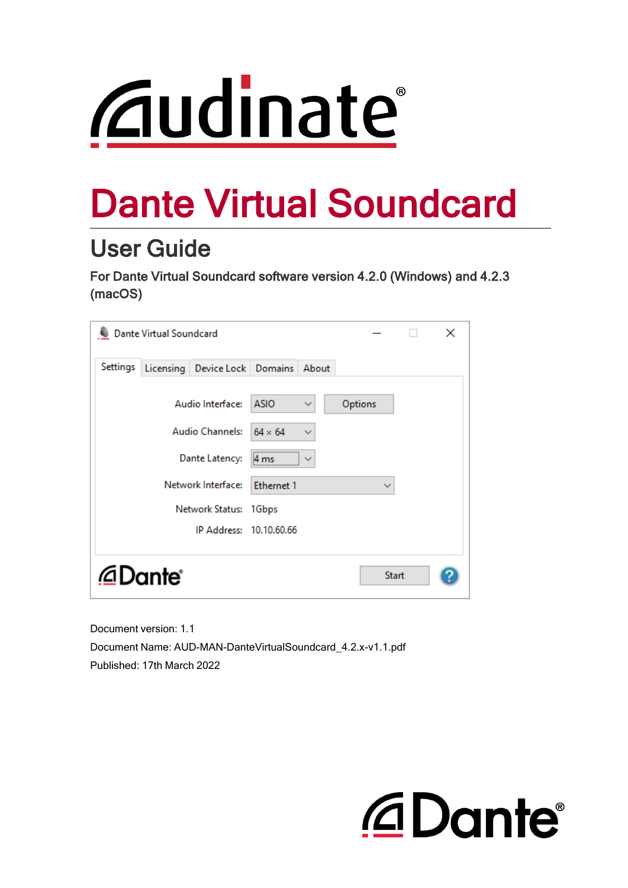# *<u>Caudinate</u>*

# Dante Virtual Soundcard

# User Guide

For Dante Virtual Soundcard software version 4.2.0 (Windows) and 4.2.3 (macOS)

|          | <b>Dante Virtual Soundcard</b> |                               |                   |              |              |              | × |
|----------|--------------------------------|-------------------------------|-------------------|--------------|--------------|--------------|---|
| Settings |                                | Licensing Device Lock Domains |                   | About        |              |              |   |
|          |                                | Audio Interface:              | <b>ASIO</b>       | $\checkmark$ | Options      |              |   |
|          |                                | <b>Audio Channels:</b>        | $64 \times 64$    | $\checkmark$ |              |              |   |
|          |                                | Dante Latency:                | 4 <sub>ms</sub>   |              |              |              |   |
|          |                                | Network Interface:            | <b>Ethernet 1</b> |              | $\checkmark$ |              |   |
|          |                                | Network Status:               | 1Gbps             |              |              |              |   |
|          |                                | IP Address: 10.10.60.66       |                   |              |              |              |   |
|          | @Dante®                        |                               |                   |              |              | <b>Start</b> |   |

Document version: 1.1 Document Name: AUD-MAN-DanteVirtualSoundcard\_4.2.x-v1.1.pdf Published: 17th March 2022

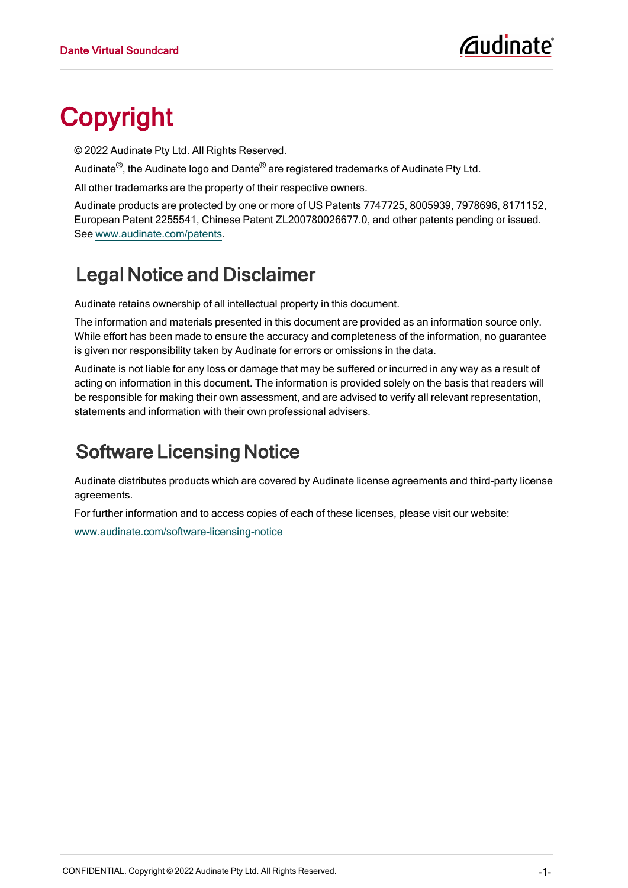# <span id="page-1-0"></span>Copyright

© 2022 Audinate Pty Ltd. All Rights Reserved.

Audinate<sup>®</sup>, the Audinate logo and Dante<sup>®</sup> are registered trademarks of Audinate Pty Ltd.

All other trademarks are the property of their respective owners.

Audinate products are protected by one or more of US Patents 7747725, 8005939, 7978696, 8171152, European Patent 2255541, Chinese Patent ZL200780026677.0, and other patents pending or issued. See [www.audinate.com/patents.](http://www.audinate.com/patents)

# Legal Notice and Disclaimer

Audinate retains ownership of all intellectual property in this document.

The information and materials presented in this document are provided as an information source only. While effort has been made to ensure the accuracy and completeness of the information, no guarantee is given nor responsibility taken by Audinate for errors or omissions in the data.

Audinate is not liable for any loss or damage that may be suffered or incurred in any way as a result of acting on information in this document. The information is provided solely on the basis that readers will be responsible for making their own assessment, and are advised to verify all relevant representation, statements and information with their own professional advisers.

# Software Licensing Notice

Audinate distributes products which are covered by Audinate license agreements and third-party license agreements.

For further information and to access copies of each of these licenses, please visit our website:

[www.audinate.com/software-licensing-notice](http://www.audinate.com/software-licensing-notice)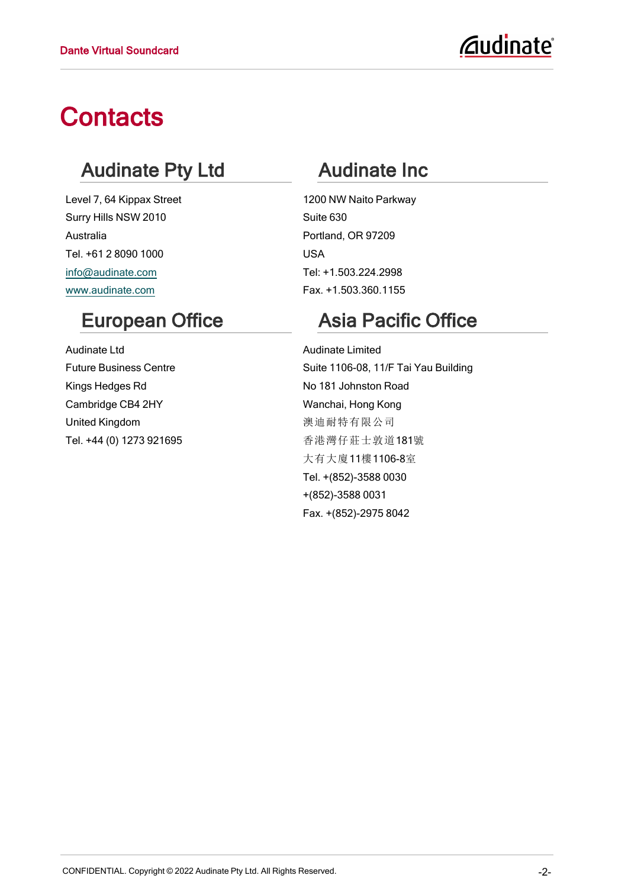# **Contacts**

### Audinate Pty Ltd

Level 7, 64 Kippax Street Surry Hills NSW 2010 Australia Tel. +61 2 8090 1000 [info@audinate.com](mailto:info@audinate.com) [www.audinate.com](http://www.audinate.com/)

### European Office

Audinate Ltd Future Business Centre Kings Hedges Rd Cambridge CB4 2HY United Kingdom Tel. +44 (0) 1273 921695

# Audinate Inc

1200 NW Naito Parkway Suite 630 Portland, OR 97209 USA Tel: +1.503.224.2998 Fax. +1.503.360.1155

# Asia Pacific Office

Audinate Limited Suite 1106-08, 11/F Tai Yau Building No 181 Johnston Road Wanchai, Hong Kong 澳迪耐特有限公司 香港灣仔莊士敦道181號 大有大廈11樓1106-8室 Tel. +(852)-3588 0030 +(852)-3588 0031 Fax. +(852)-2975 8042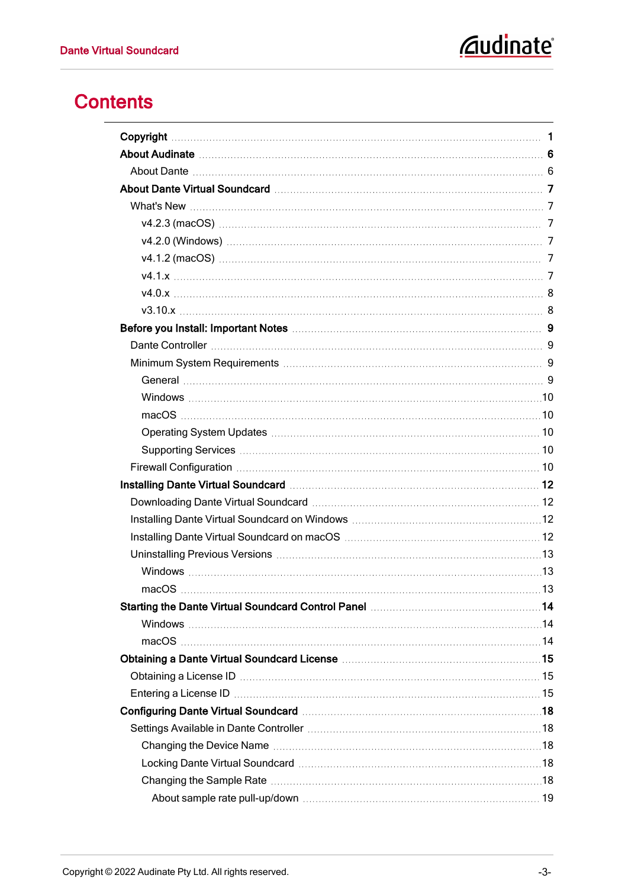# *<u>Caudinate</u>*

### **Contents**

| Obtaining a Dante Virtual Soundcard License <b>[19] Martin Martin Additional Action</b> 15                                                                                                                                     |  |
|--------------------------------------------------------------------------------------------------------------------------------------------------------------------------------------------------------------------------------|--|
|                                                                                                                                                                                                                                |  |
| Entering a License ID manufacture and the contract of the contract of the contract of the contract of the contract of the contract of the contract of the contract of the contract of the contract of the contract of the cont |  |
|                                                                                                                                                                                                                                |  |
|                                                                                                                                                                                                                                |  |
|                                                                                                                                                                                                                                |  |
|                                                                                                                                                                                                                                |  |
|                                                                                                                                                                                                                                |  |
|                                                                                                                                                                                                                                |  |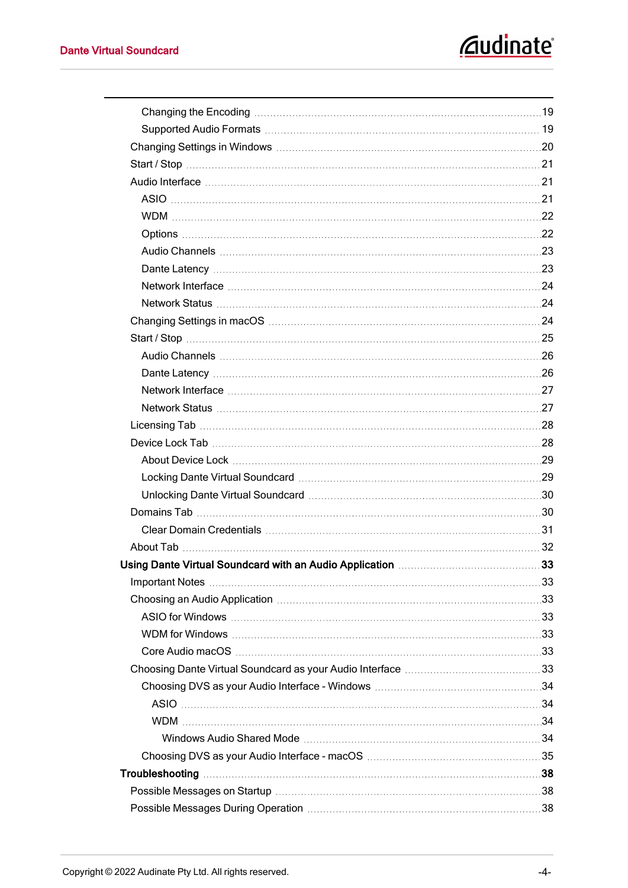| Changing Settings in macOS manufactured and the contract of the contract of the contract of the contract of the contract of the contract of the contract of the contract of the contract of the contract of the contract of th |  |
|--------------------------------------------------------------------------------------------------------------------------------------------------------------------------------------------------------------------------------|--|
|                                                                                                                                                                                                                                |  |
|                                                                                                                                                                                                                                |  |
|                                                                                                                                                                                                                                |  |
|                                                                                                                                                                                                                                |  |
|                                                                                                                                                                                                                                |  |
|                                                                                                                                                                                                                                |  |
|                                                                                                                                                                                                                                |  |
|                                                                                                                                                                                                                                |  |
|                                                                                                                                                                                                                                |  |
| Unlocking Dante Virtual Soundcard <b>Martin Accord</b> 2008 2014                                                                                                                                                               |  |
|                                                                                                                                                                                                                                |  |
|                                                                                                                                                                                                                                |  |
|                                                                                                                                                                                                                                |  |
| Using Dante Virtual Soundcard with an Audio Application <b>[10]</b> Using Dante Virtual 33                                                                                                                                     |  |
|                                                                                                                                                                                                                                |  |
|                                                                                                                                                                                                                                |  |
|                                                                                                                                                                                                                                |  |
|                                                                                                                                                                                                                                |  |
|                                                                                                                                                                                                                                |  |
|                                                                                                                                                                                                                                |  |
|                                                                                                                                                                                                                                |  |
|                                                                                                                                                                                                                                |  |
|                                                                                                                                                                                                                                |  |
|                                                                                                                                                                                                                                |  |
|                                                                                                                                                                                                                                |  |
|                                                                                                                                                                                                                                |  |
|                                                                                                                                                                                                                                |  |
|                                                                                                                                                                                                                                |  |
|                                                                                                                                                                                                                                |  |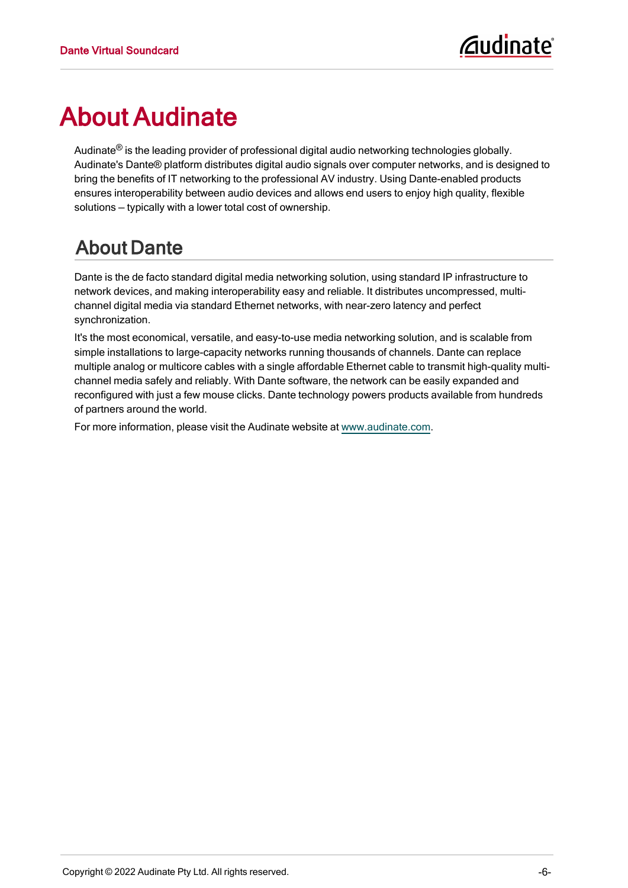# <span id="page-6-0"></span>About Audinate

Audinate® is the leading provider of professional digital audio networking technologies globally. Audinate's Dante® platform distributes digital audio signals over computer networks, and is designed to bring the benefits of IT networking to the professional AV industry. Using Dante-enabled products ensures interoperability between audio devices and allows end users to enjoy high quality, flexible solutions — typically with a lower total cost of ownership.

# <span id="page-6-1"></span>About Dante

Dante is the de facto standard digital media networking solution, using standard IP infrastructure to network devices, and making interoperability easy and reliable. It distributes uncompressed, multichannel digital media via standard Ethernet networks, with near-zero latency and perfect synchronization.

It's the most economical, versatile, and easy-to-use media networking solution, and is scalable from simple installations to large-capacity networks running thousands of channels. Dante can replace multiple analog or multicore cables with a single affordable Ethernet cable to transmit high-quality multichannel media safely and reliably. With Dante software, the network can be easily expanded and reconfigured with just a few mouse clicks. Dante technology powers products available from hundreds of partners around the world.

For more information, please visit the Audinate website at [www.audinate.com](http://www.audinate.com/).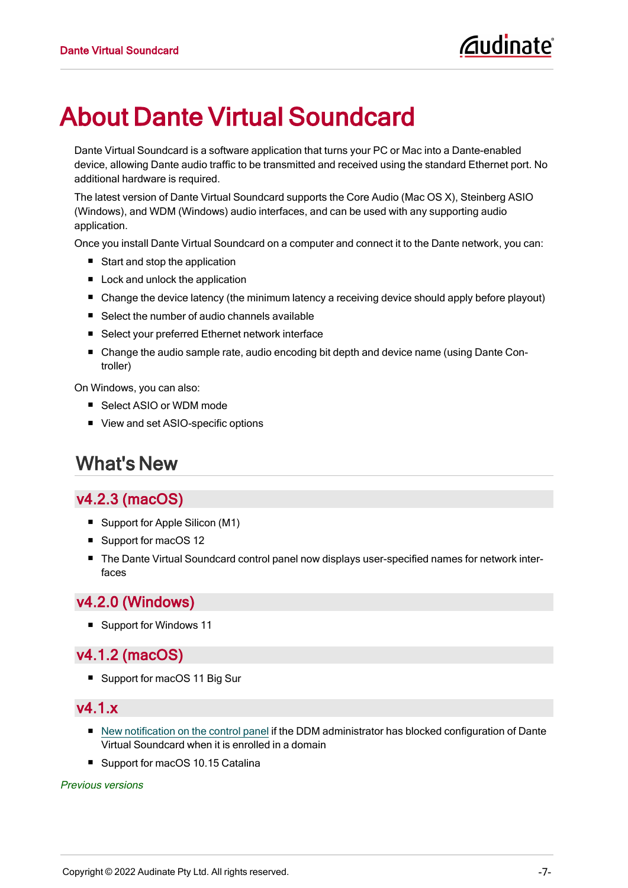# <span id="page-7-0"></span>About Dante Virtual Soundcard

Dante Virtual Soundcard is a software application that turns your PC or Mac into a Dante-enabled device, allowing Dante audio traffic to be transmitted and received using the standard Ethernet port. No additional hardware is required.

The latest version of Dante Virtual Soundcard supports the Core Audio (Mac OS X), Steinberg ASIO (Windows), and WDM (Windows) audio interfaces, and can be used with any supporting audio application.

Once you install Dante Virtual Soundcard on a computer and connect it to the Dante network, you can:

- $\blacksquare$  Start and stop the application
- $\blacksquare$  Lock and unlock the application
- Change the device latency (the minimum latency a receiving device should apply before playout)
- Select the number of audio channels available
- Select your preferred Ethernet network interface
- Change the audio sample rate, audio encoding bit depth and device name (using Dante Controller)

On Windows, you can also:

- Select ASIO or WDM mode
- <span id="page-7-1"></span>■ View and set ASIO-specific options

### What's New

#### <span id="page-7-2"></span>v4.2.3 (macOS)

- Support for Apple Silicon (M1)
- Support for macOS 12
- The Dante Virtual Soundcard control panel now displays user-specified names for network interfaces

#### <span id="page-7-3"></span>v4.2.0 (Windows)

<span id="page-7-4"></span>■ Support for Windows 11

#### v4.1.2 (macOS)

<span id="page-7-5"></span>■ Support for macOS 11 Big Sur

#### v4.1.x

- New [notification](#page-30-1) on the control panel if the DDM administrator has blocked configuration of Dante Virtual Soundcard when it is enrolled in a domain
- Support for macOS 10.15 Catalina

#### Previous versions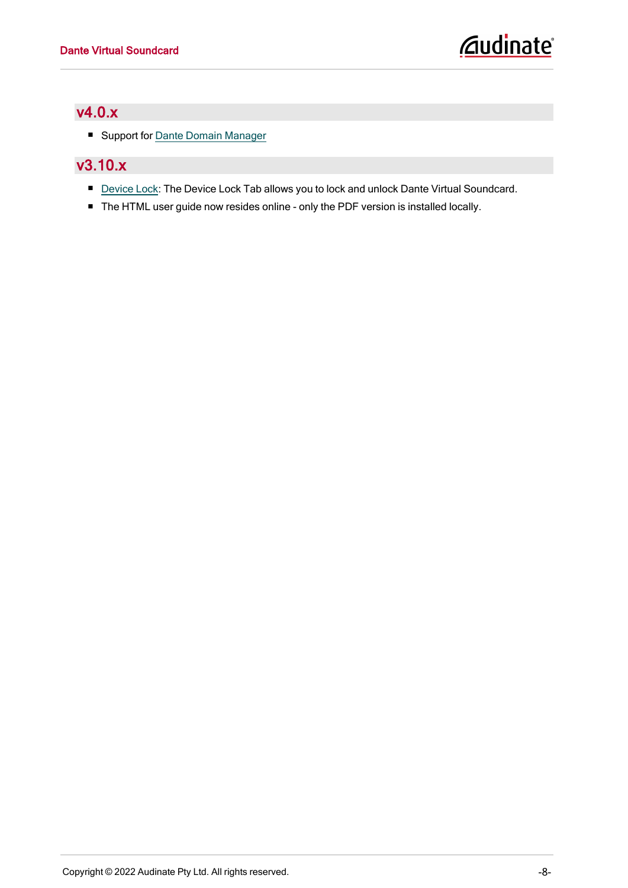#### <span id="page-8-0"></span>v4.0.x

<span id="page-8-1"></span>■ Support for Dante Domain [Manager](#page-30-1)

#### v3.10.x

- [Device](#page-28-1) Lock: The Device Lock Tab allows you to lock and unlock Dante Virtual Soundcard.
- The HTML user guide now resides online only the PDF version is installed locally.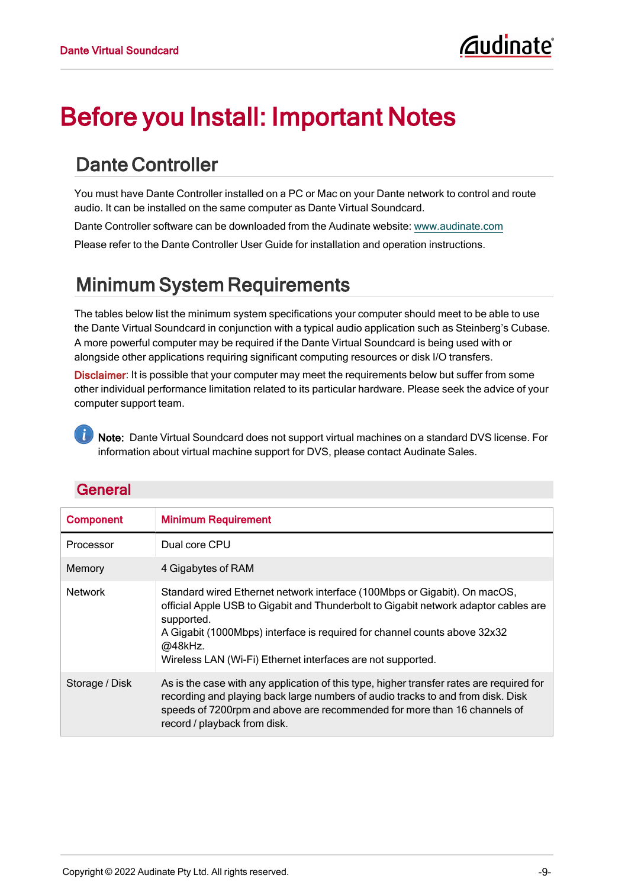# <span id="page-9-0"></span>Before you Install: Important Notes

# <span id="page-9-1"></span>Dante Controller

You must have Dante Controller installed on a PC or Mac on your Dante network to control and route audio. It can be installed on the same computer as Dante Virtual Soundcard.

Dante Controller software can be downloaded from the Audinate website: [www.audinate.com](http://www.audinate.com/)

<span id="page-9-2"></span>Please refer to the Dante Controller User Guide for installation and operation instructions.

# Minimum System Requirements

The tables below list the minimum system specifications your computer should meet to be able to use the Dante Virtual Soundcard in conjunction with a typical audio application such as Steinberg's Cubase. A more powerful computer may be required if the Dante Virtual Soundcard is being used with or alongside other applications requiring significant computing resources or disk I/O transfers.

Disclaimer: It is possible that your computer may meet the requirements below but suffer from some other individual performance limitation related to its particular hardware. Please seek the advice of your computer support team.

Note: Dante Virtual Soundcard does not support virtual machines on a standard DVS license. For information about virtual machine support for DVS, please contact Audinate Sales.

<span id="page-9-3"></span>

<span id="page-9-6"></span><span id="page-9-5"></span><span id="page-9-4"></span>

| <b>Component</b> | <b>Minimum Requirement</b>                                                                                                                                                                                                                                                                                                            |
|------------------|---------------------------------------------------------------------------------------------------------------------------------------------------------------------------------------------------------------------------------------------------------------------------------------------------------------------------------------|
| Processor        | Dual core CPU                                                                                                                                                                                                                                                                                                                         |
| Memory           | 4 Gigabytes of RAM                                                                                                                                                                                                                                                                                                                    |
| <b>Network</b>   | Standard wired Ethernet network interface (100Mbps or Gigabit). On macOS,<br>official Apple USB to Gigabit and Thunderbolt to Gigabit network adaptor cables are<br>supported.<br>A Gigabit (1000Mbps) interface is required for channel counts above 32x32<br>@48kHz.<br>Wireless LAN (Wi-Fi) Ethernet interfaces are not supported. |
| Storage / Disk   | As is the case with any application of this type, higher transfer rates are required for<br>recording and playing back large numbers of audio tracks to and from disk. Disk<br>speeds of 7200rpm and above are recommended for more than 16 channels of<br>record / playback from disk.                                               |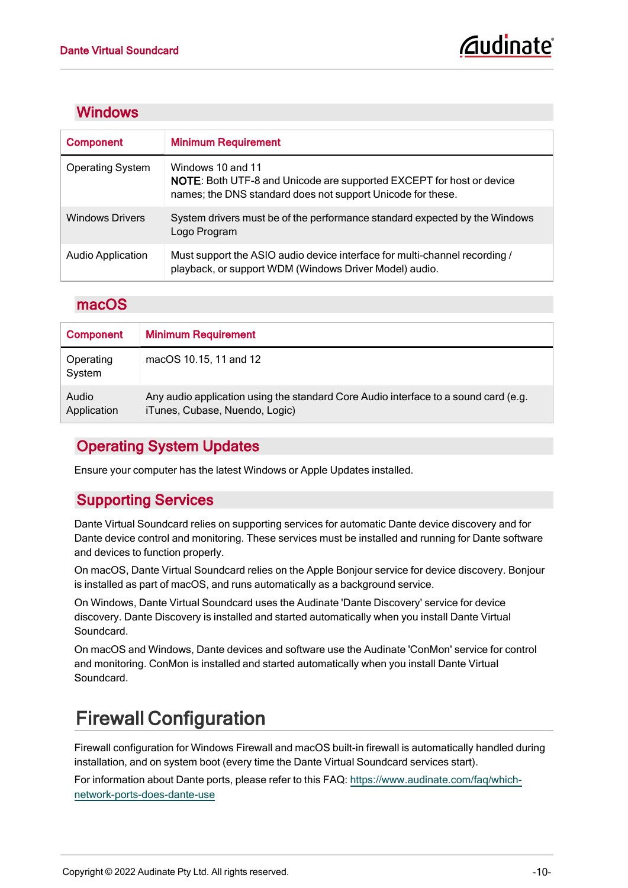#### <span id="page-10-0"></span>**Windows**

<span id="page-10-9"></span><span id="page-10-8"></span>

| <b>Component</b>         | <b>Minimum Requirement</b>                                                                                                                                      |
|--------------------------|-----------------------------------------------------------------------------------------------------------------------------------------------------------------|
| <b>Operating System</b>  | Windows 10 and 11<br><b>NOTE:</b> Both UTF-8 and Unicode are supported EXCEPT for host or device<br>names; the DNS standard does not support Unicode for these. |
| <b>Windows Drivers</b>   | System drivers must be of the performance standard expected by the Windows<br>Logo Program                                                                      |
| <b>Audio Application</b> | Must support the ASIO audio device interface for multi-channel recording /<br>playback, or support WDM (Windows Driver Model) audio.                            |

#### <span id="page-10-1"></span>macOS

| <b>Component</b>     | <b>Minimum Requirement</b>                                                                                            |
|----------------------|-----------------------------------------------------------------------------------------------------------------------|
| Operating<br>System  | macOS 10.15, 11 and 12                                                                                                |
| Audio<br>Application | Any audio application using the standard Core Audio interface to a sound card (e.g.<br>iTunes, Cubase, Nuendo, Logic) |

#### <span id="page-10-2"></span>Operating System Updates

<span id="page-10-3"></span>Ensure your computer has the latest Windows or Apple Updates installed.

#### Supporting Services

Dante Virtual Soundcard relies on supporting services for automatic Dante device discovery and for Dante device control and monitoring. These services must be installed and running for Dante software and devices to function properly.

<span id="page-10-5"></span>On macOS, Dante Virtual Soundcard relies on the Apple Bonjour service for device discovery. Bonjour is installed as part of macOS, and runs automatically as a background service.

<span id="page-10-7"></span>On Windows, Dante Virtual Soundcard uses the Audinate 'Dante Discovery' service for device discovery. Dante Discovery is installed and started automatically when you install Dante Virtual Soundcard.

<span id="page-10-6"></span>On macOS and Windows, Dante devices and software use the Audinate 'ConMon' service for control and monitoring. ConMon is installed and started automatically when you install Dante Virtual Soundcard.

# <span id="page-10-4"></span>Firewall Configuration

Firewall configuration for Windows Firewall and macOS built-in firewall is automatically handled during installation, and on system boot (every time the Dante Virtual Soundcard services start).

For information about Dante ports, please refer to this FAQ: [https://www.audinate.com/faq/which](https://www.audinate.com/faq/which-network-ports-does-dante-use)[network-ports-does-dante-use](https://www.audinate.com/faq/which-network-ports-does-dante-use)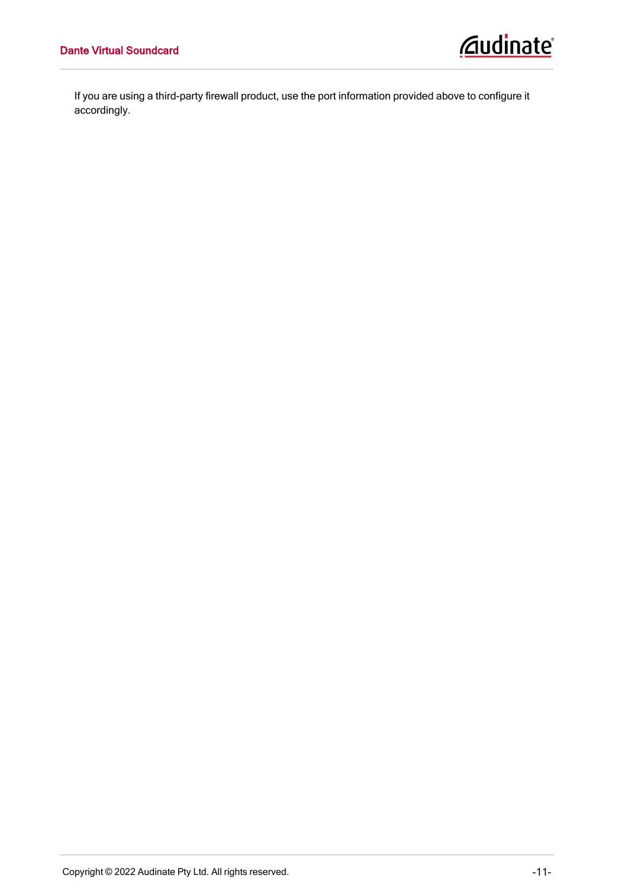If you are using a third-party firewall product, use the port information provided above to configure it accordingly.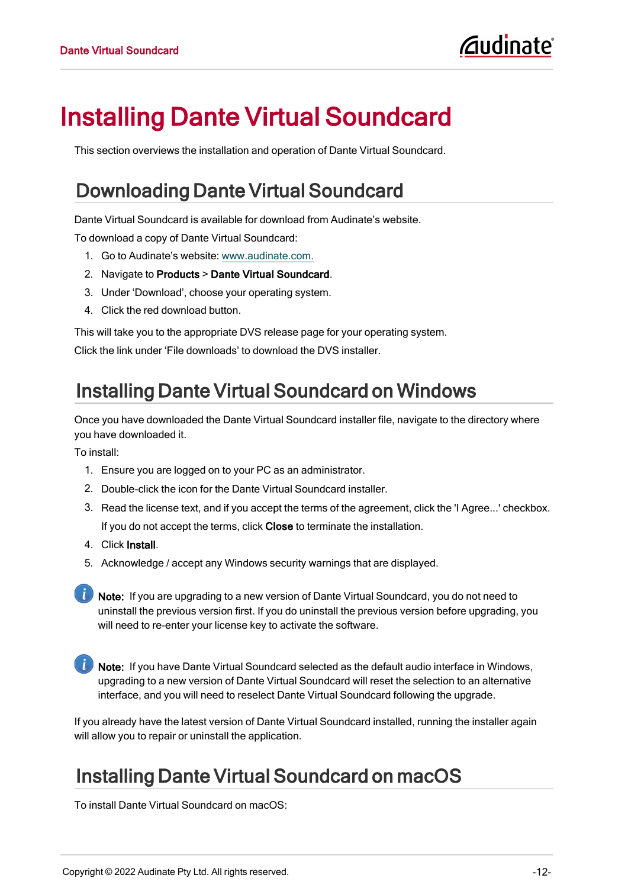# <span id="page-12-0"></span>Installing Dante Virtual Soundcard

<span id="page-12-1"></span>This section overviews the installation and operation of Dante Virtual Soundcard.

# Downloading Dante Virtual Soundcard

Dante Virtual Soundcard is available for download from Audinate's website.

To download a copy of Dante Virtual Soundcard:

- 1. Go to Audinate's website: [www.audinate.com.](http://www.audinate.com/)
- 2. Navigate to Products > Dante Virtual Soundcard.
- 3. Under 'Download', choose your operating system.
- 4. Click the red download button.

This will take you to the appropriate DVS release page for your operating system.

<span id="page-12-2"></span>Click the link under 'File downloads' to download the DVS installer.

# Installing Dante Virtual Soundcard on Windows

Once you have downloaded the Dante Virtual Soundcard installer file, navigate to the directory where you have downloaded it.

To install:

- 1. Ensure you are logged on to your PC as an administrator.
- 2. Double-click the icon for the Dante Virtual Soundcard installer.
- 3. Read the license text, and if you accept the terms of the agreement, click the 'I Agree...' checkbox. If you do not accept the terms, click Close to terminate the installation.
- 4. Click Install.
- 5. Acknowledge / accept any Windows security warnings that are displayed.

**Note:** If you are upgrading to a new version of Dante Virtual Soundcard, you do not need to uninstall the previous version first. If you do uninstall the previous version before upgrading, you will need to re-enter your license key to activate the software.

Note: If you have Dante Virtual Soundcard selected as the default audio interface in Windows, upgrading to a new version of Dante Virtual Soundcard will reset the selection to an alternative interface, and you will need to reselect Dante Virtual Soundcard following the upgrade.

If you already have the latest version of Dante Virtual Soundcard installed, running the installer again will allow you to repair or uninstall the application.

### <span id="page-12-3"></span>Installing Dante Virtual Soundcard on macOS

To install Dante Virtual Soundcard on macOS: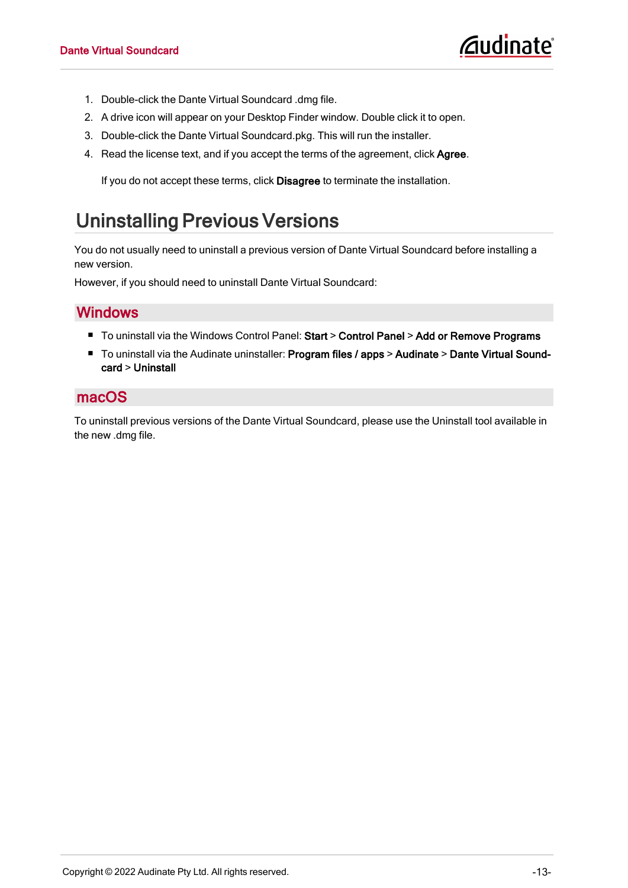- 1. Double-click the Dante Virtual Soundcard .dmg file.
- 2. A drive icon will appear on your Desktop Finder window. Double click it to open.
- 3. Double-click the Dante Virtual Soundcard.pkg. This will run the installer.
- 4. Read the license text, and if you accept the terms of the agreement, click Agree.

If you do not accept these terms, click Disagree to terminate the installation.

# <span id="page-13-0"></span>Uninstalling Previous Versions

You do not usually need to uninstall a previous version of Dante Virtual Soundcard before installing a new version.

<span id="page-13-1"></span>However, if you should need to uninstall Dante Virtual Soundcard:

#### **Windows**

- To uninstall via the Windows Control Panel: Start > Control Panel > Add or Remove Programs
- To uninstall via the Audinate uninstaller: Program files / apps > Audinate > Dante Virtual Soundcard > Uninstall

#### <span id="page-13-2"></span>macOS

To uninstall previous versions of the Dante Virtual Soundcard, please use the Uninstall tool available in the new .dmg file.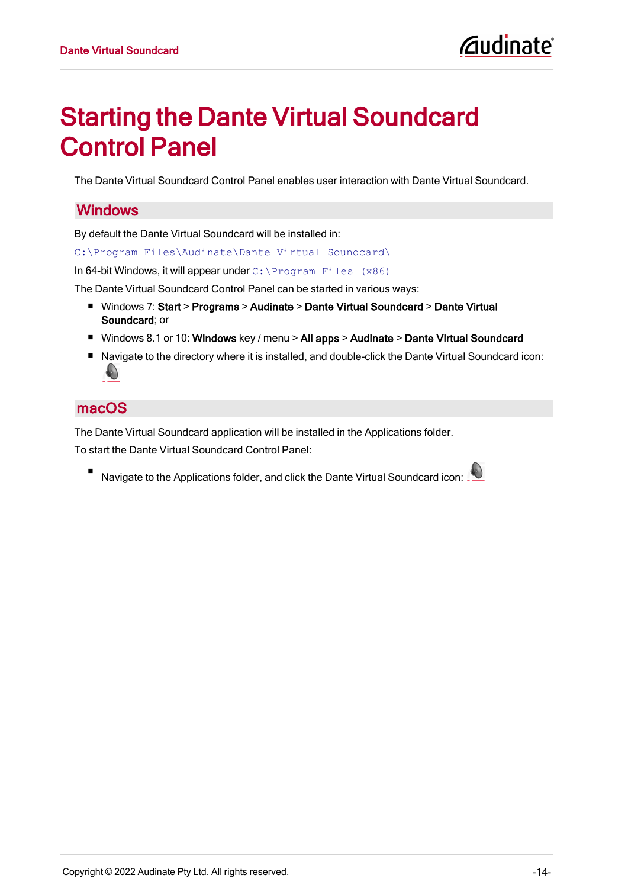# <span id="page-14-0"></span>Starting the Dante Virtual Soundcard Control Panel

<span id="page-14-1"></span>The Dante Virtual Soundcard Control Panel enables user interaction with Dante Virtual Soundcard.

#### **Windows**

By default the Dante Virtual Soundcard will be installed in:

C:\Program Files\Audinate\Dante Virtual Soundcard\

In 64-bit Windows, it will appear under C:\Program Files (x86)

The Dante Virtual Soundcard Control Panel can be started in various ways:

- Windows 7: Start > Programs > Audinate > Dante Virtual Soundcard > Dante Virtual Soundcard; or
- Windows 8.1 or 10: Windows key / menu > All apps > Audinate > Dante Virtual Soundcard
- Navigate to the directory where it is installed, and double-click the Dante Virtual Soundcard icon:  $\bullet$

#### <span id="page-14-2"></span>macOS

The Dante Virtual Soundcard application will be installed in the Applications folder. To start the Dante Virtual Soundcard Control Panel:

Navigate to the Applications folder, and click the Dante Virtual Soundcard icon: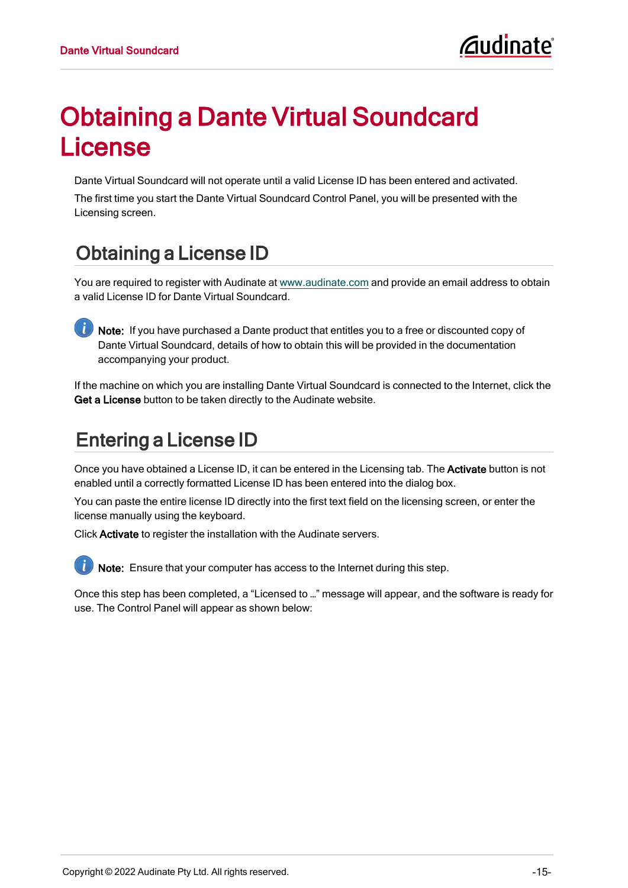# <span id="page-15-0"></span>Obtaining a Dante Virtual Soundcard License

Dante Virtual Soundcard will not operate until a valid License ID has been entered and activated.

The first time you start the Dante Virtual Soundcard Control Panel, you will be presented with the Licensing screen.

# <span id="page-15-1"></span>Obtaining a License ID

You are required to register with Audinate at [www.audinate.com](http://www.audinate.com/) and provide an email address to obtain a valid License ID for Dante Virtual Soundcard.

Note: If you have purchased a Dante product that entitles you to a free or discounted copy of Dante Virtual Soundcard, details of how to obtain this will be provided in the documentation accompanying your product.

If the machine on which you are installing Dante Virtual Soundcard is connected to the Internet, click the Get a License button to be taken directly to the Audinate website.

# <span id="page-15-2"></span>Entering a License ID

Once you have obtained a License ID, it can be entered in the Licensing tab. The Activate button is not enabled until a correctly formatted License ID has been entered into the dialog box.

You can paste the entire license ID directly into the first text field on the licensing screen, or enter the license manually using the keyboard.

Click Activate to register the installation with the Audinate servers.



Note: Ensure that your computer has access to the Internet during this step.

Once this step has been completed, a "Licensed to …" message will appear, and the software is ready for use. The Control Panel will appear as shown below: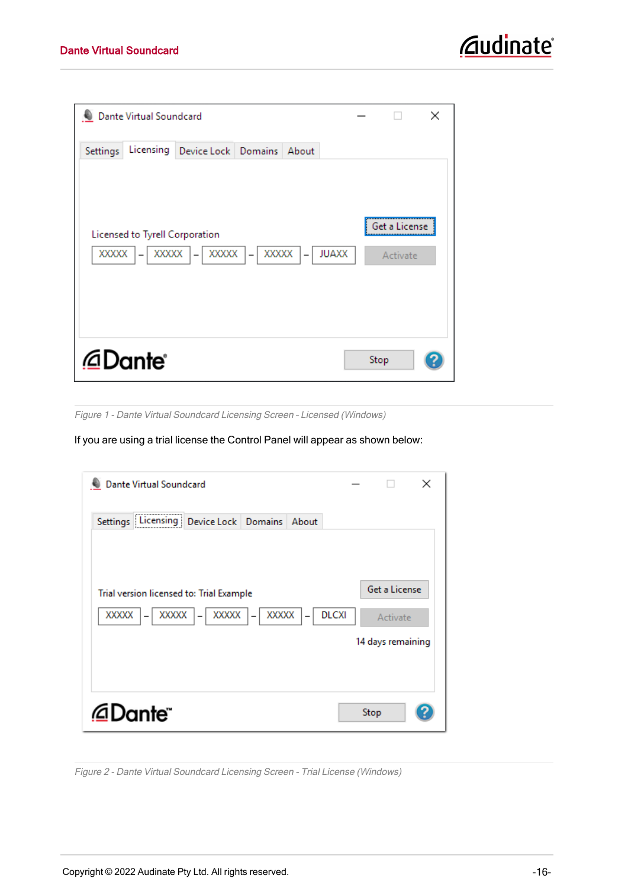|               | Dante Virtual Soundcard        |                               |                                        |                           | × |
|---------------|--------------------------------|-------------------------------|----------------------------------------|---------------------------|---|
| Settings      |                                | Licensing Device Lock Domains | About                                  |                           |   |
| $XXXXX$   $-$ | Licensed to Tyrell Corporation | XXXXX -<br>XXXXX -            | $\overline{XXX}$   $-$<br><b>JUAXX</b> | Get a License<br>Activate |   |
|               | @Dante®                        |                               |                                        | Stop                      |   |

Figure 1 - Dante Virtual Soundcard Licensing Screen – Licensed (Windows)

If you are using a trial license the Control Panel will appear as shown below:

| <b>Dante Virtual Soundcard</b>                                                               | ×                                              |
|----------------------------------------------------------------------------------------------|------------------------------------------------|
| Settings Licensing<br>Device Lock Domains<br>About                                           |                                                |
| Trial version licensed to: Trial Example<br>XXXXX<br>XXXXX<br>XXXXX<br>XXXXX<br><b>DLCXI</b> | Get a License<br>Activate<br>14 days remaining |
| ∕ Dante                                                                                      | Stop                                           |

Figure 2 - Dante Virtual Soundcard Licensing Screen - Trial License (Windows)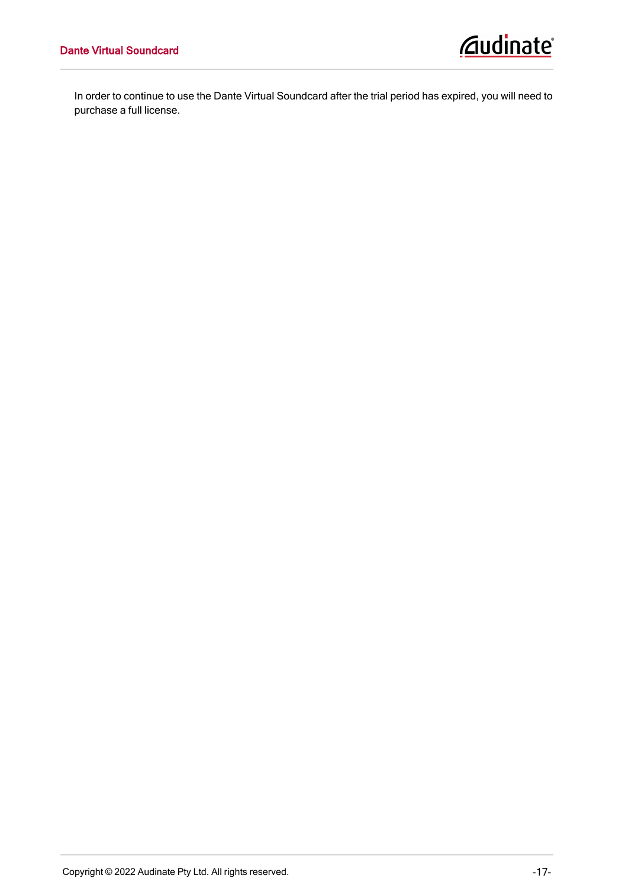In order to continue to use the Dante Virtual Soundcard after the trial period has expired, you will need to purchase a full license.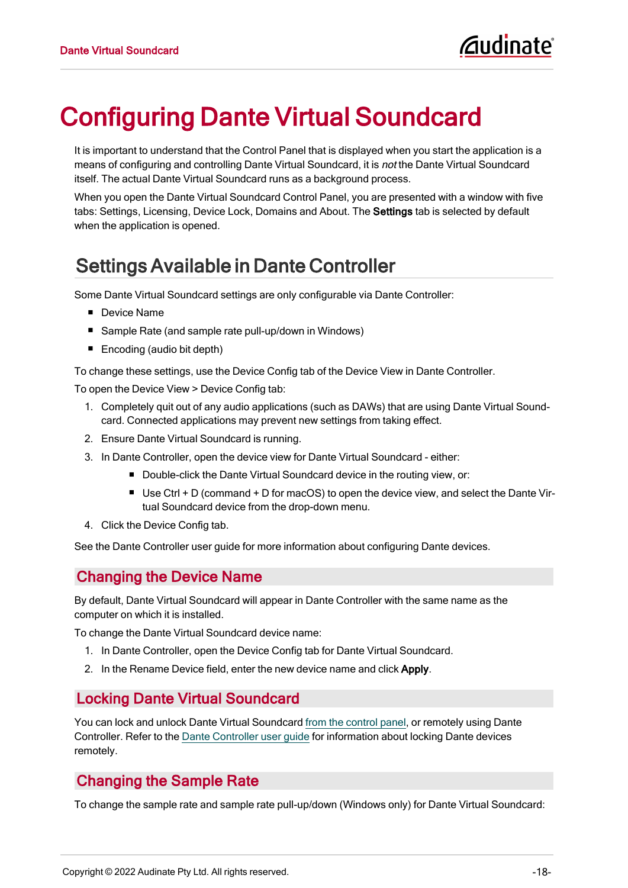# <span id="page-18-0"></span>Configuring Dante Virtual Soundcard

It is important to understand that the Control Panel that is displayed when you start the application is a means of configuring and controlling Dante Virtual Soundcard, it is not the Dante Virtual Soundcard itself. The actual Dante Virtual Soundcard runs as a background process.

When you open the Dante Virtual Soundcard Control Panel, you are presented with a window with five tabs: Settings, Licensing, Device Lock, Domains and About. The Settings tab is selected by default when the application is opened.

# <span id="page-18-1"></span>Settings Available in Dante Controller

Some Dante Virtual Soundcard settings are only configurable via Dante Controller:

- Device Name
- Sample Rate (and sample rate pull-up/down in Windows)
- $\blacksquare$  Encoding (audio bit depth)

To change these settings, use the Device Config tab of the Device View in Dante Controller.

To open the Device View > Device Config tab:

- 1. Completely quit out of any audio applications (such as DAWs) that are using Dante Virtual Soundcard. Connected applications may prevent new settings from taking effect.
- 2. Ensure Dante Virtual Soundcard is running.
- 3. In Dante Controller, open the device view for Dante Virtual Soundcard either:
	- Double-click the Dante Virtual Soundcard device in the routing view, or:
		- **Deta Use Ctrl + D (command + D for macOS) to open the device view, and select the Dante Vir**tual Soundcard device from the drop-down menu.
- 4. Click the Device Config tab.

<span id="page-18-2"></span>See the Dante Controller user guide for more information about configuring Dante devices.

#### Changing the Device Name

By default, Dante Virtual Soundcard will appear in Dante Controller with the same name as the computer on which it is installed.

To change the Dante Virtual Soundcard device name:

- 1. In Dante Controller, open the Device Config tab for Dante Virtual Soundcard.
- <span id="page-18-3"></span>2. In the Rename Device field, enter the new device name and click Apply.

#### Locking Dante Virtual Soundcard

You can lock and unlock Dante Virtual Soundcard from the [control](#page-28-1) panel, or remotely using Dante Controller. Refer to the Dante [Controller](http://dev.audinate.com/GA/dante-controller/userguide/webhelp/) user guide for information about locking Dante devices remotely.

#### <span id="page-18-5"></span><span id="page-18-4"></span>Changing the Sample Rate

To change the sample rate and sample rate pull-up/down (Windows only) for Dante Virtual Soundcard: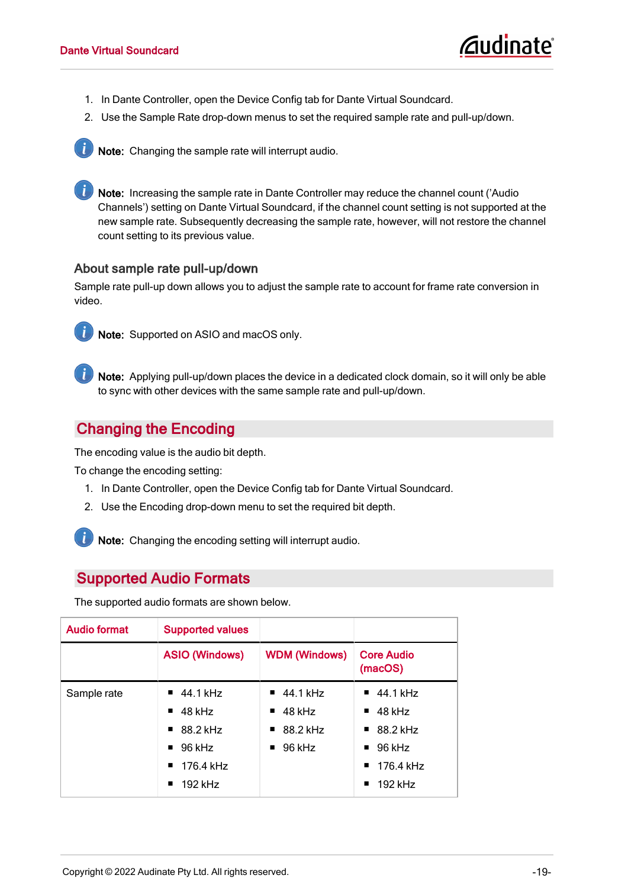- 1. In Dante Controller, open the Device Config tab for Dante Virtual Soundcard.
- 2. Use the Sample Rate drop-down menus to set the required sample rate and pull-up/down.



Note: Changing the sample rate will interrupt audio.

Note: Increasing the sample rate in Dante Controller may reduce the channel count ('Audio Channels') setting on Dante Virtual Soundcard, if the channel count setting is not supported at the new sample rate. Subsequently decreasing the sample rate, however, will not restore the channel count setting to its previous value.

#### <span id="page-19-0"></span>About sample rate pull-up/down

Sample rate pull-up down allows you to adjust the sample rate to account for frame rate conversion in video.



Note: Supported on ASIO and macOS only.

Note: Applying pull-up/down places the device in a dedicated clock domain, so it will only be able to sync with other devices with the same sample rate and pull-up/down.

#### <span id="page-19-1"></span>Changing the Encoding

The encoding value is the audio bit depth.

To change the encoding setting:

- 1. In Dante Controller, open the Device Config tab for Dante Virtual Soundcard.
- 2. Use the Encoding drop-down menu to set the required bit depth.

**i** Note: Changing the encoding setting will interrupt audio.

#### <span id="page-19-2"></span>Supported Audio Formats

The supported audio formats are shown below.

<span id="page-19-3"></span>

| <b>Audio format</b> | <b>Supported values</b>                                                                                                                                             |                                                                                            |                                                                                                                                               |
|---------------------|---------------------------------------------------------------------------------------------------------------------------------------------------------------------|--------------------------------------------------------------------------------------------|-----------------------------------------------------------------------------------------------------------------------------------------------|
|                     | <b>ASIO (Windows)</b>                                                                                                                                               | <b>WDM (Windows)</b>                                                                       | <b>Core Audio</b><br>(macOS)                                                                                                                  |
| Sample rate         | $\blacksquare$ 44.1 kHz<br>$\blacksquare$ 48 kHz<br>$\blacksquare$ 88.2 kHz<br>96 kHz<br>$\blacksquare$<br>176.4 kHz<br>$\blacksquare$<br>192 kHz<br>$\blacksquare$ | $\blacksquare$ 44.1 kHz<br>48 kHz<br>$\blacksquare$<br>$\blacksquare$ 88.2 kHz<br>$96$ kHz | $\blacksquare$ 44.1 kHz<br>$\blacksquare$ 48 kHz<br>$\blacksquare$ 88.2 kHz<br>$96$ kHz<br>$\blacksquare$ 176.4 kHz<br>$\blacksquare$ 192 kHz |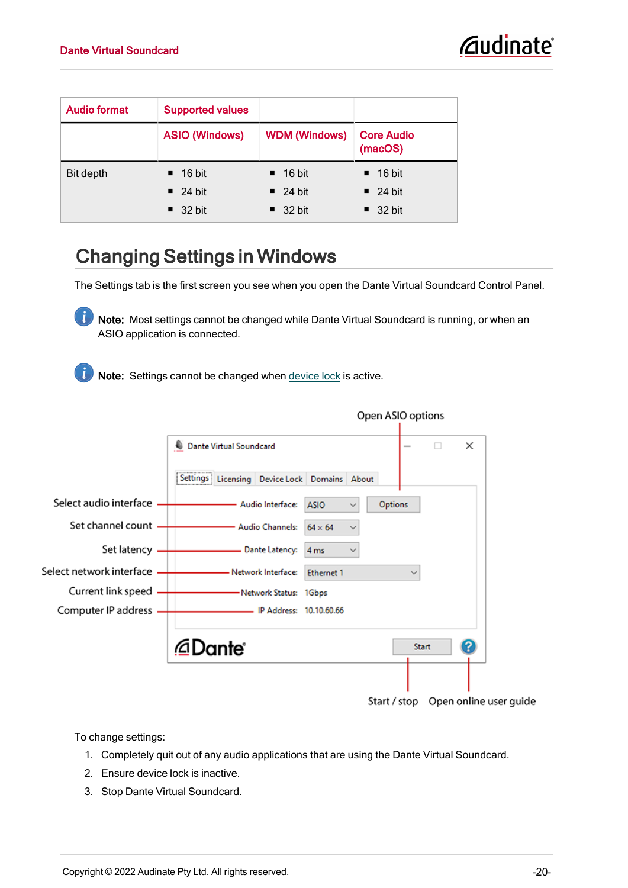<span id="page-20-1"></span>

| <b>Audio format</b> | <b>Supported values</b> |                       |                              |
|---------------------|-------------------------|-----------------------|------------------------------|
|                     | <b>ASIO (Windows)</b>   | <b>WDM (Windows)</b>  | <b>Core Audio</b><br>(macOS) |
| Bit depth           | $\blacksquare$ 16 bit   | $\blacksquare$ 16 bit | $\blacksquare$ 16 bit        |
|                     | $\blacksquare$ 24 bit   | $\blacksquare$ 24 bit | $\blacksquare$ 24 bit        |
|                     | $\blacksquare$ 32 bit   | $\blacksquare$ 32 bit | $\blacksquare$ 32 bit        |

# <span id="page-20-0"></span>Changing Settings in Windows

The Settings tab is the first screen you see when you open the Dante Virtual Soundcard Control Panel.

Note: Most settings cannot be changed while Dante Virtual Soundcard is running, or when an ASIO application is connected.

Note: Settings cannot be changed when [device](#page-28-1) lock is active.



To change settings:

- 1. Completely quit out of any audio applications that are using the Dante Virtual Soundcard.
- 2. Ensure device lock is inactive.
- 3. Stop Dante Virtual Soundcard.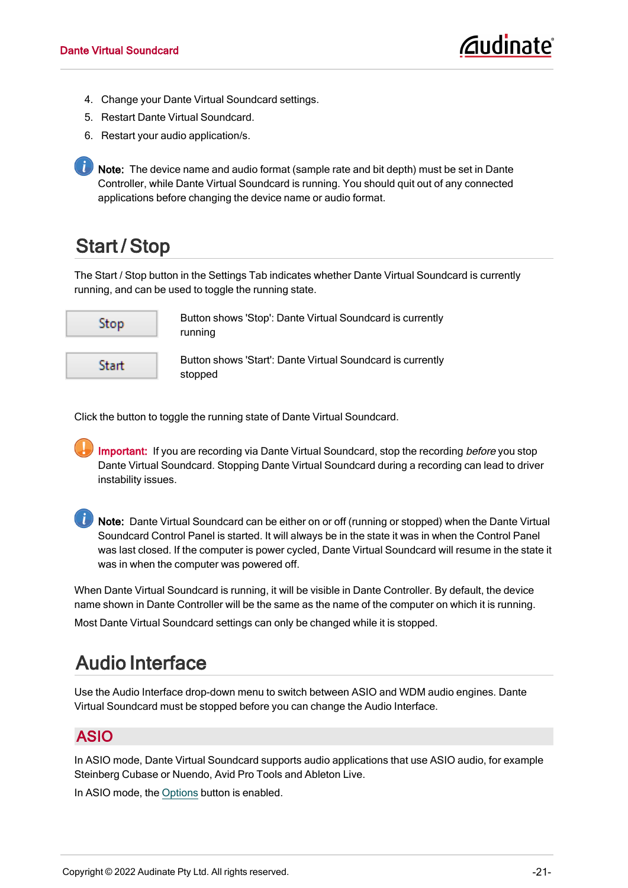- 4. Change your Dante Virtual Soundcard settings.
- 5. Restart Dante Virtual Soundcard.
- 6. Restart your audio application/s.

**i** Note: The device name and audio format (sample rate and bit depth) must be set in Dante Controller, while Dante Virtual Soundcard is running. You should quit out of any connected applications before changing the device name or audio format.

# <span id="page-21-0"></span>Start / Stop

The Start / Stop button in the Settings Tab indicates whether Dante Virtual Soundcard is currently running, and can be used to toggle the running state.



Button shows 'Stop': Dante Virtual Soundcard is currently running

Button shows 'Start': Dante Virtual Soundcard is currently stopped

Click the button to toggle the running state of Dante Virtual Soundcard.

Important: If you are recording via Dante Virtual Soundcard, stop the recording before you stop Dante Virtual Soundcard. Stopping Dante Virtual Soundcard during a recording can lead to driver instability issues.

Note: Dante Virtual Soundcard can be either on or off (running or stopped) when the Dante Virtual Soundcard Control Panel is started. It will always be in the state it was in when the Control Panel was last closed. If the computer is power cycled, Dante Virtual Soundcard will resume in the state it was in when the computer was powered off.

When Dante Virtual Soundcard is running, it will be visible in Dante Controller. By default, the device name shown in Dante Controller will be the same as the name of the computer on which it is running. Most Dante Virtual Soundcard settings can only be changed while it is stopped.

### <span id="page-21-1"></span>Audio Interface

Use the Audio Interface drop-down menu to switch between ASIO and WDM audio engines. Dante Virtual Soundcard must be stopped before you can change the Audio Interface.

#### <span id="page-21-2"></span>ASIO

In ASIO mode, Dante Virtual Soundcard supports audio applications that use ASIO audio, for example Steinberg Cubase or Nuendo, Avid Pro Tools and Ableton Live.

In ASIO mode, the [Options](#page-22-1) button is enabled.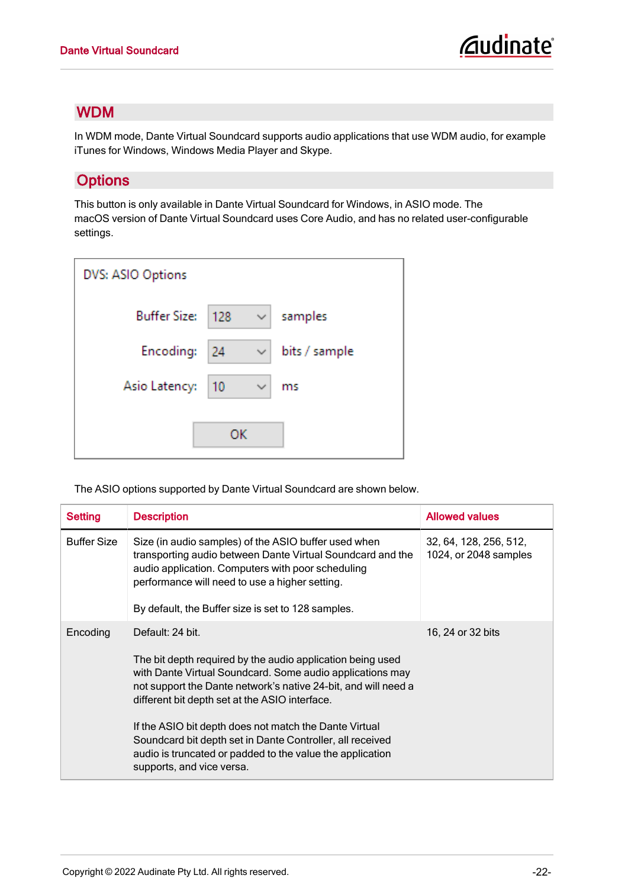#### <span id="page-22-0"></span>WDM

In WDM mode, Dante Virtual Soundcard supports audio applications that use WDM audio, for example iTunes for Windows, Windows Media Player and Skype.

#### <span id="page-22-1"></span>**Options**

This button is only available in Dante Virtual Soundcard for Windows, in ASIO mode. The macOS version of Dante Virtual Soundcard uses Core Audio, and has no related user-configurable settings.

| DVS: ASIO Options   |     |              |               |
|---------------------|-----|--------------|---------------|
| <b>Buffer Size:</b> | 128 | $\checkmark$ | samples       |
| Encoding:           | 24  | ✓            | bits / sample |
| Asio Latency:       | 10  | ✓            | ms            |
|                     | ОK  |              |               |

The ASIO options supported by Dante Virtual Soundcard are shown below.

<span id="page-22-3"></span><span id="page-22-2"></span>

| <b>Setting</b>     | <b>Description</b>                                                                                                                                                                                                                                                                                                                                                                                                                                                               | <b>Allowed values</b>                           |
|--------------------|----------------------------------------------------------------------------------------------------------------------------------------------------------------------------------------------------------------------------------------------------------------------------------------------------------------------------------------------------------------------------------------------------------------------------------------------------------------------------------|-------------------------------------------------|
| <b>Buffer Size</b> | Size (in audio samples) of the ASIO buffer used when<br>transporting audio between Dante Virtual Soundcard and the<br>audio application. Computers with poor scheduling<br>performance will need to use a higher setting.<br>By default, the Buffer size is set to 128 samples.                                                                                                                                                                                                  | 32, 64, 128, 256, 512,<br>1024, or 2048 samples |
| Encoding           | Default: 24 bit.<br>The bit depth required by the audio application being used<br>with Dante Virtual Soundcard. Some audio applications may<br>not support the Dante network's native 24-bit, and will need a<br>different bit depth set at the ASIO interface.<br>If the ASIO bit depth does not match the Dante Virtual<br>Soundcard bit depth set in Dante Controller, all received<br>audio is truncated or padded to the value the application<br>supports, and vice versa. | 16, 24 or 32 bits                               |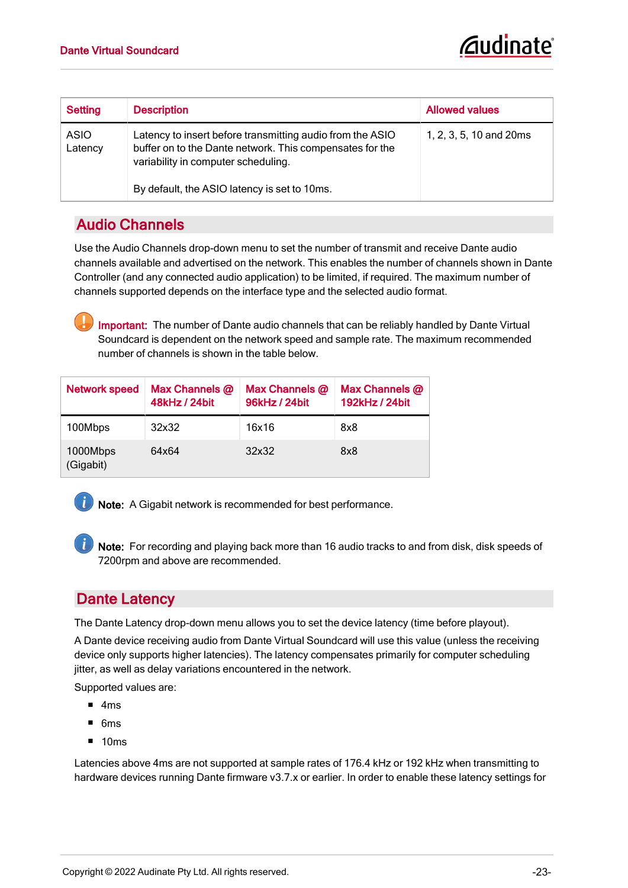<span id="page-23-2"></span>

| Setting         | <b>Description</b>                                                                                                                                                                                           | <b>Allowed values</b>   |
|-----------------|--------------------------------------------------------------------------------------------------------------------------------------------------------------------------------------------------------------|-------------------------|
| ASIO<br>Latency | Latency to insert before transmitting audio from the ASIO<br>buffer on to the Dante network. This compensates for the<br>variability in computer scheduling.<br>By default, the ASIO latency is set to 10ms. | 1, 2, 3, 5, 10 and 20ms |

#### <span id="page-23-0"></span>Audio Channels

Use the Audio Channels drop-down menu to set the number of transmit and receive Dante audio channels available and advertised on the network. This enables the number of channels shown in Dante Controller (and any connected audio application) to be limited, if required. The maximum number of channels supported depends on the interface type and the selected audio format.

<span id="page-23-4"></span><span id="page-23-3"></span>Important: The number of Dante audio channels that can be reliably handled by Dante Virtual Soundcard is dependent on the network speed and sample rate. The maximum recommended number of channels is shown in the table below.

| <b>Network speed</b>  | Max Channels $@$<br>48kHz / 24bit | Max Channels $@$<br>96kHz / 24bit | Max Channels @<br>192kHz / 24bit |
|-----------------------|-----------------------------------|-----------------------------------|----------------------------------|
| 100Mbps               | 32x32                             | 16x16                             | 8x8                              |
| 1000Mbps<br>(Gigabit) | 64x64                             | 32x32                             | 8x8                              |



**1** Note: A Gigabit network is recommended for best performance.

Note: For recording and playing back more than 16 audio tracks to and from disk, disk speeds of 7200rpm and above are recommended.

#### <span id="page-23-1"></span>Dante Latency

The Dante Latency drop-down menu allows you to set the device latency (time before playout).

A Dante device receiving audio from Dante Virtual Soundcard will use this value (unless the receiving device only supports higher latencies). The latency compensates primarily for computer scheduling jitter, as well as delay variations encountered in the network.

Supported values are:

- $-4ms$
- $-6ms$
- $\blacksquare$  10ms

Latencies above 4ms are not supported at sample rates of 176.4 kHz or 192 kHz when transmitting to hardware devices running Dante firmware v3.7.x or earlier. In order to enable these latency settings for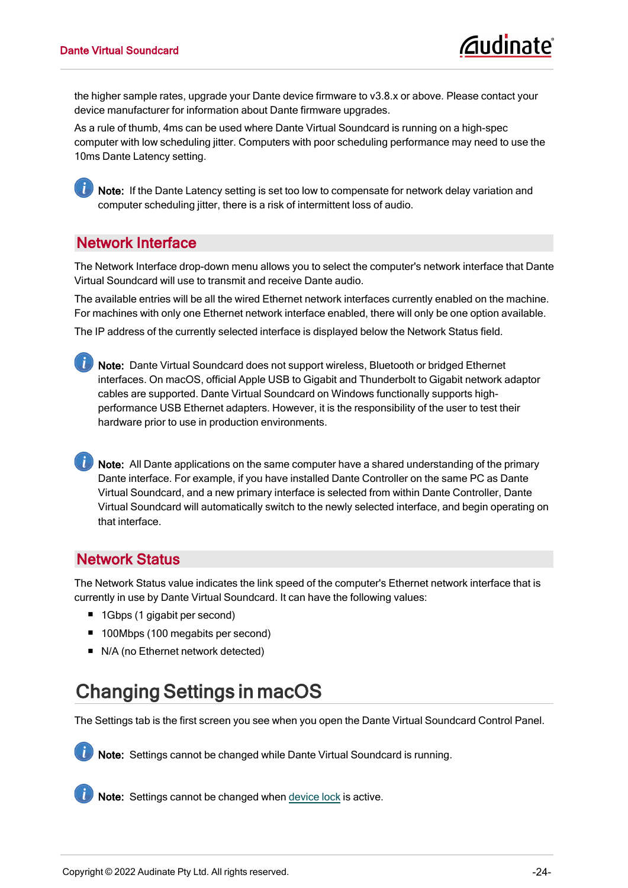the higher sample rates, upgrade your Dante device firmware to v3.8.x or above. Please contact your device manufacturer for information about Dante firmware upgrades.

As a rule of thumb, 4ms can be used where Dante Virtual Soundcard is running on a high-spec computer with low scheduling jitter. Computers with poor scheduling performance may need to use the 10ms Dante Latency setting.

Note: If the Dante Latency setting is set too low to compensate for network delay variation and computer scheduling jitter, there is a risk of intermittent loss of audio.

#### <span id="page-24-0"></span>Network Interface

Ĭ.

The Network Interface drop-down menu allows you to select the computer's network interface that Dante Virtual Soundcard will use to transmit and receive Dante audio.

The available entries will be all the wired Ethernet network interfaces currently enabled on the machine. For machines with only one Ethernet network interface enabled, there will only be one option available.

The IP address of the currently selected interface is displayed below the Network Status field.

Note: Dante Virtual Soundcard does not support wireless, Bluetooth or bridged Ethernet interfaces. On macOS, official Apple USB to Gigabit and Thunderbolt to Gigabit network adaptor cables are supported. Dante Virtual Soundcard on Windows functionally supports highperformance USB Ethernet adapters. However, it is the responsibility of the user to test their hardware prior to use in production environments.

Note: All Dante applications on the same computer have a shared understanding of the primary Dante interface. For example, if you have installed Dante Controller on the same PC as Dante Virtual Soundcard, and a new primary interface is selected from within Dante Controller, Dante Virtual Soundcard will automatically switch to the newly selected interface, and begin operating on that interface.

#### <span id="page-24-1"></span>Network Status

The Network Status value indicates the link speed of the computer's Ethernet network interface that is currently in use by Dante Virtual Soundcard. It can have the following values:

- 1Gbps (1 gigabit per second)
- 100Mbps (100 megabits per second)
- <span id="page-24-2"></span>■ N/A (no Ethernet network detected)

### Changing Settings in macOS

The Settings tab is the first screen you see when you open the Dante Virtual Soundcard Control Panel.



Note: Settings cannot be changed while Dante Virtual Soundcard is running.



Note: Settings cannot be changed when [device](#page-28-1) lock is active.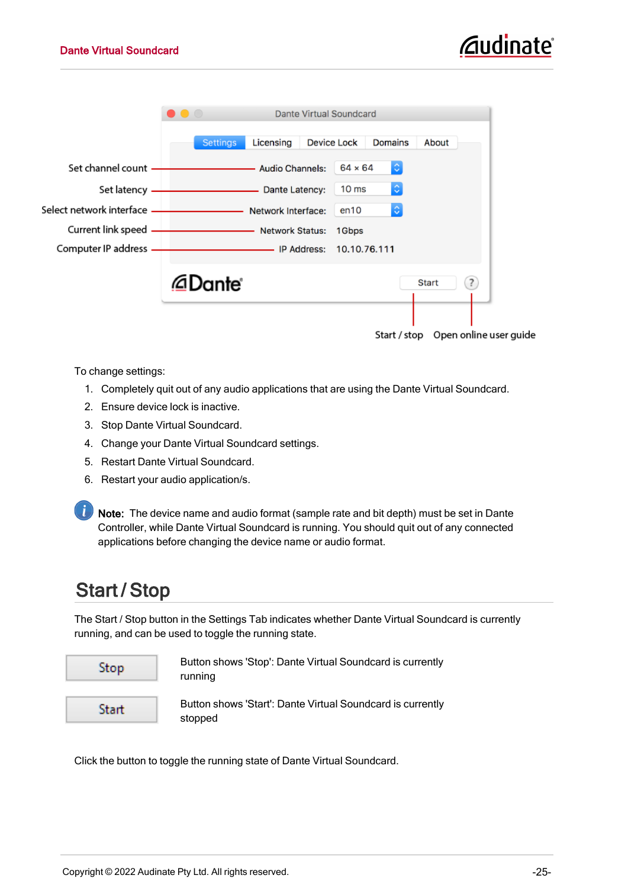

To change settings:

- 1. Completely quit out of any audio applications that are using the Dante Virtual Soundcard.
- 2. Ensure device lock is inactive.
- 3. Stop Dante Virtual Soundcard.
- 4. Change your Dante Virtual Soundcard settings.
- 5. Restart Dante Virtual Soundcard.
- 6. Restart your audio application/s.

Note: The device name and audio format (sample rate and bit depth) must be set in Dante Controller, while Dante Virtual Soundcard is running. You should quit out of any connected applications before changing the device name or audio format.

### <span id="page-25-0"></span>Start / Stop

The Start / Stop button in the Settings Tab indicates whether Dante Virtual Soundcard is currently running, and can be used to toggle the running state.



Button shows 'Stop': Dante Virtual Soundcard is currently running

Button shows 'Start': Dante Virtual Soundcard is currently stopped

Click the button to toggle the running state of Dante Virtual Soundcard.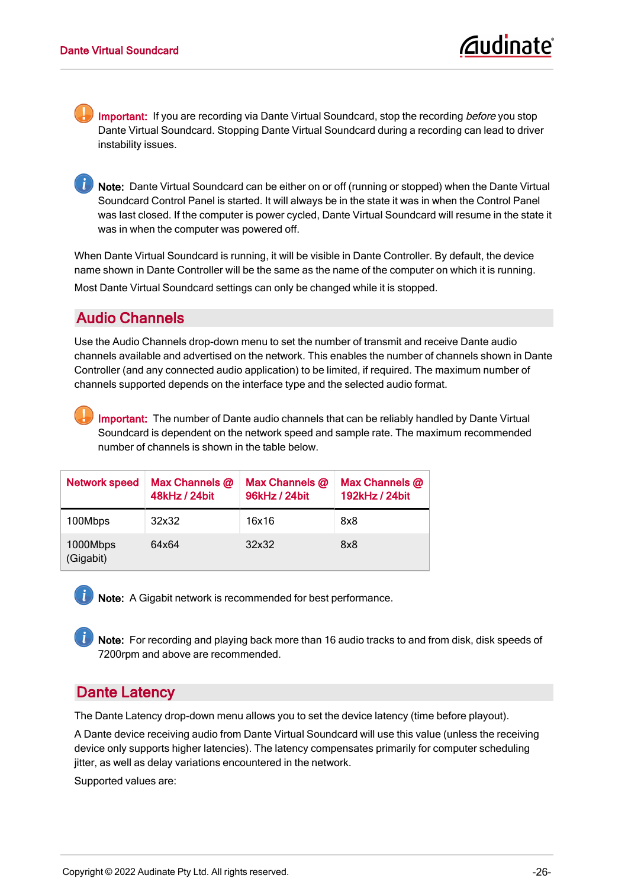Important: If you are recording via Dante Virtual Soundcard, stop the recording before you stop Dante Virtual Soundcard. Stopping Dante Virtual Soundcard during a recording can lead to driver instability issues.

Note: Dante Virtual Soundcard can be either on or off (running or stopped) when the Dante Virtual Soundcard Control Panel is started. It will always be in the state it was in when the Control Panel was last closed. If the computer is power cycled, Dante Virtual Soundcard will resume in the state it was in when the computer was powered off.

When Dante Virtual Soundcard is running, it will be visible in Dante Controller. By default, the device name shown in Dante Controller will be the same as the name of the computer on which it is running. Most Dante Virtual Soundcard settings can only be changed while it is stopped.

#### <span id="page-26-0"></span>Audio Channels

Use the Audio Channels drop-down menu to set the number of transmit and receive Dante audio channels available and advertised on the network. This enables the number of channels shown in Dante Controller (and any connected audio application) to be limited, if required. The maximum number of channels supported depends on the interface type and the selected audio format.

<span id="page-26-3"></span><span id="page-26-2"></span>Important: The number of Dante audio channels that can be reliably handled by Dante Virtual Soundcard is dependent on the network speed and sample rate. The maximum recommended number of channels is shown in the table below.

| <b>Network speed</b>  | Max Channels @<br>48kHz / 24bit | Max Channels @<br>96kHz / 24bit | Max Channels @<br>192kHz / 24bit |
|-----------------------|---------------------------------|---------------------------------|----------------------------------|
| 100Mbps               | 32x32                           | 16x16                           | 8x8                              |
| 1000Mbps<br>(Gigabit) | 64x64                           | 32x32                           | 8x8                              |

Note: A Gigabit network is recommended for best performance.

Note: For recording and playing back more than 16 audio tracks to and from disk, disk speeds of 7200rpm and above are recommended.

#### <span id="page-26-1"></span>Dante Latency

The Dante Latency drop-down menu allows you to set the device latency (time before playout).

A Dante device receiving audio from Dante Virtual Soundcard will use this value (unless the receiving device only supports higher latencies). The latency compensates primarily for computer scheduling jitter, as well as delay variations encountered in the network.

Supported values are: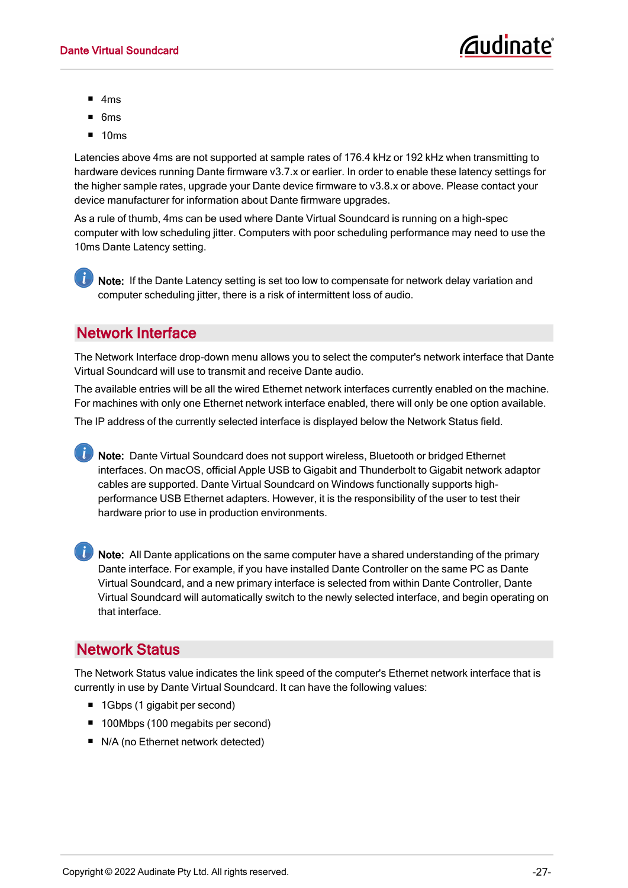- $-4ms$
- $-6ms$
- $10<sub>ms</sub>$

Latencies above 4ms are not supported at sample rates of 176.4 kHz or 192 kHz when transmitting to hardware devices running Dante firmware v3.7.x or earlier. In order to enable these latency settings for the higher sample rates, upgrade your Dante device firmware to v3.8.x or above. Please contact your device manufacturer for information about Dante firmware upgrades.

As a rule of thumb, 4ms can be used where Dante Virtual Soundcard is running on a high-spec computer with low scheduling jitter. Computers with poor scheduling performance may need to use the 10ms Dante Latency setting.

 $\mathbf{I}$ Note: If the Dante Latency setting is set too low to compensate for network delay variation and computer scheduling jitter, there is a risk of intermittent loss of audio.

#### <span id="page-27-0"></span>Network Interface

The Network Interface drop-down menu allows you to select the computer's network interface that Dante Virtual Soundcard will use to transmit and receive Dante audio.

The available entries will be all the wired Ethernet network interfaces currently enabled on the machine. For machines with only one Ethernet network interface enabled, there will only be one option available.

The IP address of the currently selected interface is displayed below the Network Status field.

Note: Dante Virtual Soundcard does not support wireless, Bluetooth or bridged Ethernet interfaces. On macOS, official Apple USB to Gigabit and Thunderbolt to Gigabit network adaptor cables are supported. Dante Virtual Soundcard on Windows functionally supports highperformance USB Ethernet adapters. However, it is the responsibility of the user to test their hardware prior to use in production environments.

Note: All Dante applications on the same computer have a shared understanding of the primary Dante interface. For example, if you have installed Dante Controller on the same PC as Dante Virtual Soundcard, and a new primary interface is selected from within Dante Controller, Dante Virtual Soundcard will automatically switch to the newly selected interface, and begin operating on that interface.

#### <span id="page-27-1"></span>Network Status

The Network Status value indicates the link speed of the computer's Ethernet network interface that is currently in use by Dante Virtual Soundcard. It can have the following values:

- 1Gbps (1 gigabit per second)
- 100Mbps (100 megabits per second)
- N/A (no Ethernet network detected)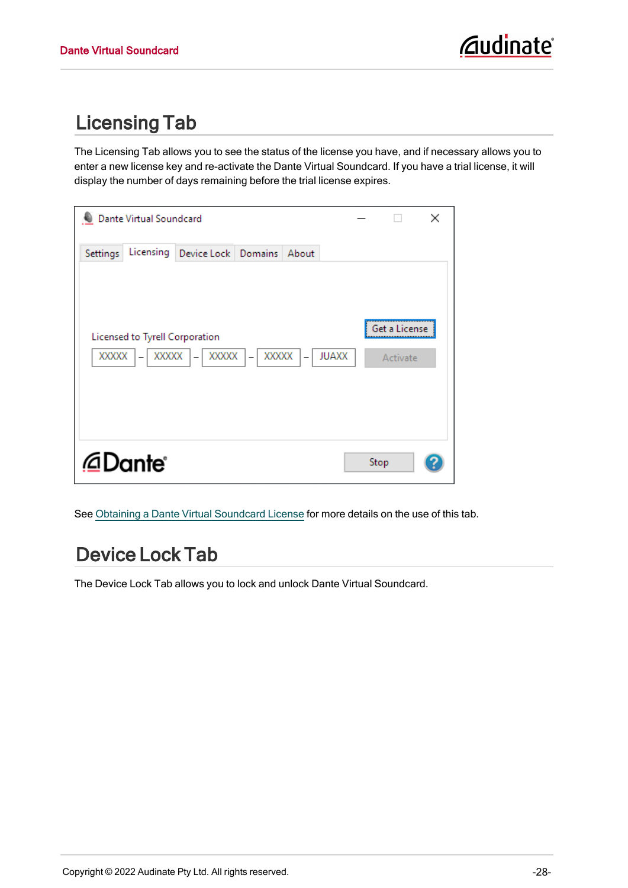# <span id="page-28-0"></span>Licensing Tab

The Licensing Tab allows you to see the status of the license you have, and if necessary allows you to enter a new license key and re-activate the Dante Virtual Soundcard. If you have a trial license, it will display the number of days remaining before the trial license expires.

| Dante Virtual Soundcard                     |                                              |       |                                          |                           | × |
|---------------------------------------------|----------------------------------------------|-------|------------------------------------------|---------------------------|---|
| Licensing<br>Settings                       | Device Lock   Domains                        |       | About                                    |                           |   |
| Licensed to Tyrell Corporation<br>XXXXX   - | $\overline{XXXX}$ -<br>$\overline{XXXX}$   - | XXXXX | <b>JUAXX</b><br>$\overline{\phantom{0}}$ | Get a License<br>Activate |   |
| @Dante®                                     |                                              |       |                                          | Stop                      |   |

<span id="page-28-1"></span>See Obtaining a Dante Virtual [Soundcard](#page-15-0) License for more details on the use of this tab.

# Device Lock Tab

The Device Lock Tab allows you to lock and unlock Dante Virtual Soundcard.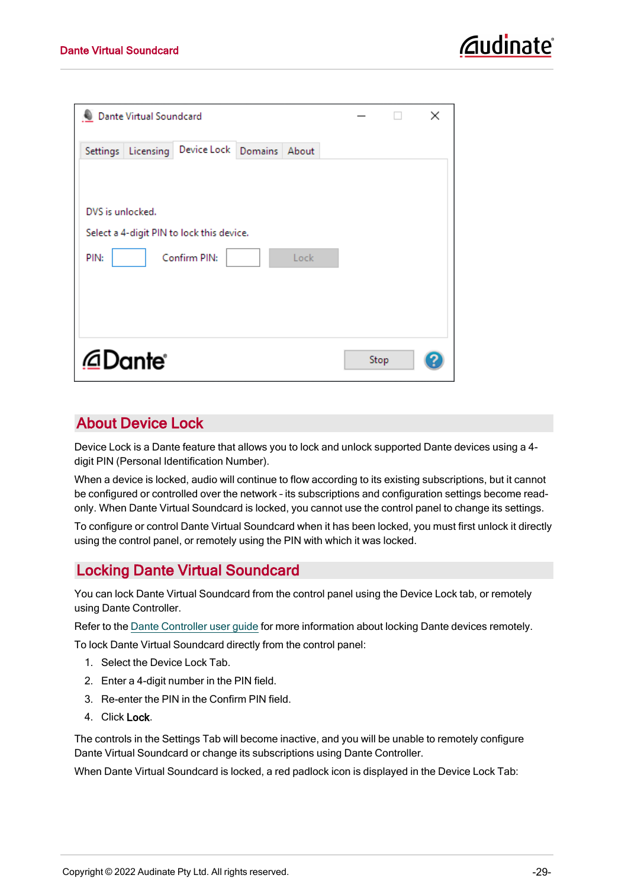| Dante Virtual Soundcard                                                                       |      | × |
|-----------------------------------------------------------------------------------------------|------|---|
| Device Lock Domains<br>Licensing<br>About<br>Settings                                         |      |   |
| DVS is unlocked.<br>Select a 4-digit PIN to lock this device.<br>PIN:<br>Confirm PIN:<br>Lock |      |   |
| @Dante®                                                                                       | Stop |   |

#### <span id="page-29-2"></span><span id="page-29-0"></span>About Device Lock

Device Lock is a Dante feature that allows you to lock and unlock supported Dante devices using a 4 digit PIN (Personal Identification Number).

When a device is locked, audio will continue to flow according to its existing subscriptions, but it cannot be configured or controlled over the network – its subscriptions and configuration settings become readonly. When Dante Virtual Soundcard is locked, you cannot use the control panel to change its settings.

To configure or control Dante Virtual Soundcard when it has been locked, you must first unlock it directly using the control panel, or remotely using the PIN with which it was locked.

#### <span id="page-29-1"></span>Locking Dante Virtual Soundcard

You can lock Dante Virtual Soundcard from the control panel using the Device Lock tab, or remotely using Dante Controller.

Refer to the Dante [Controller](http://dev.audinate.com/GA/dante-controller/userguide/webhelp/) user guide for more information about locking Dante devices remotely.

To lock Dante Virtual Soundcard directly from the control panel:

- 1. Select the Device Lock Tab.
- 2. Enter a 4-digit number in the PIN field.
- 3. Re-enter the PIN in the Confirm PIN field.
- 4. Click Lock.

The controls in the Settings Tab will become inactive, and you will be unable to remotely configure Dante Virtual Soundcard or change its subscriptions using Dante Controller.

When Dante Virtual Soundcard is locked, a red padlock icon is displayed in the Device Lock Tab: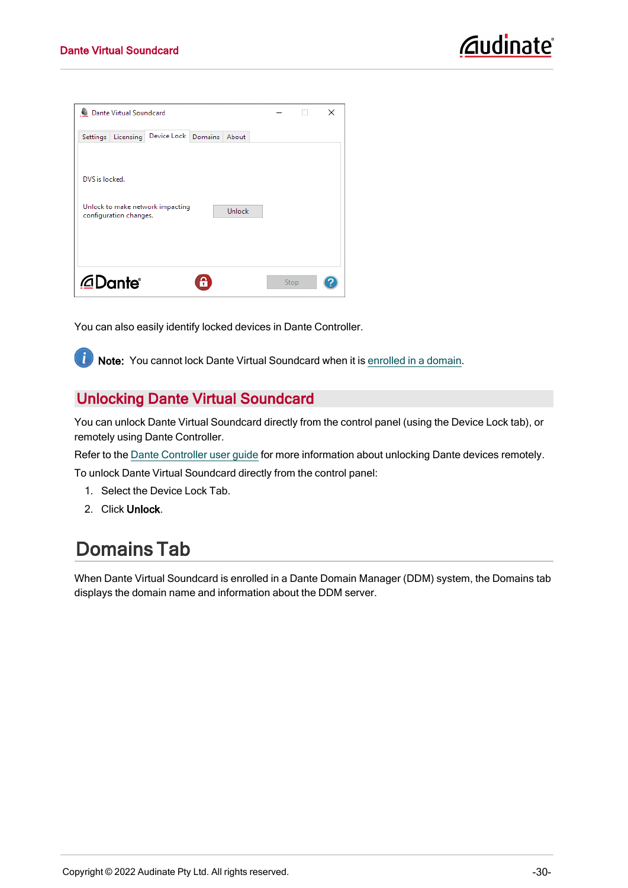| Dante Virtual Soundcard                                                                |      | × |
|----------------------------------------------------------------------------------------|------|---|
| Device Lock<br>Licensing<br>Domains<br>About<br>Settings                               |      |   |
| DVS is locked.<br>Unlock to make network impacting<br>Unlock<br>configuration changes. |      |   |
| @Dante®                                                                                | Stop |   |

You can also easily identify locked devices in Dante Controller.

Note: You cannot lock Dante Virtual Soundcard when it is [enrolled](#page-30-1) in a domain.

#### <span id="page-30-0"></span>Unlocking Dante Virtual Soundcard

You can unlock Dante Virtual Soundcard directly from the control panel (using the Device Lock tab), or remotely using Dante Controller.

Refer to the Dante [Controller](http://dev.audinate.com/GA/dante-controller/userguide/webhelp/) user guide for more information about unlocking Dante devices remotely.

To unlock Dante Virtual Soundcard directly from the control panel:

- 1. Select the Device Lock Tab.
- <span id="page-30-1"></span>2. Click Unlock.

 $\mathbf{d}$ 

### Domains Tab

When Dante Virtual Soundcard is enrolled in a Dante Domain Manager (DDM) system, the Domains tab displays the domain name and information about the DDM server.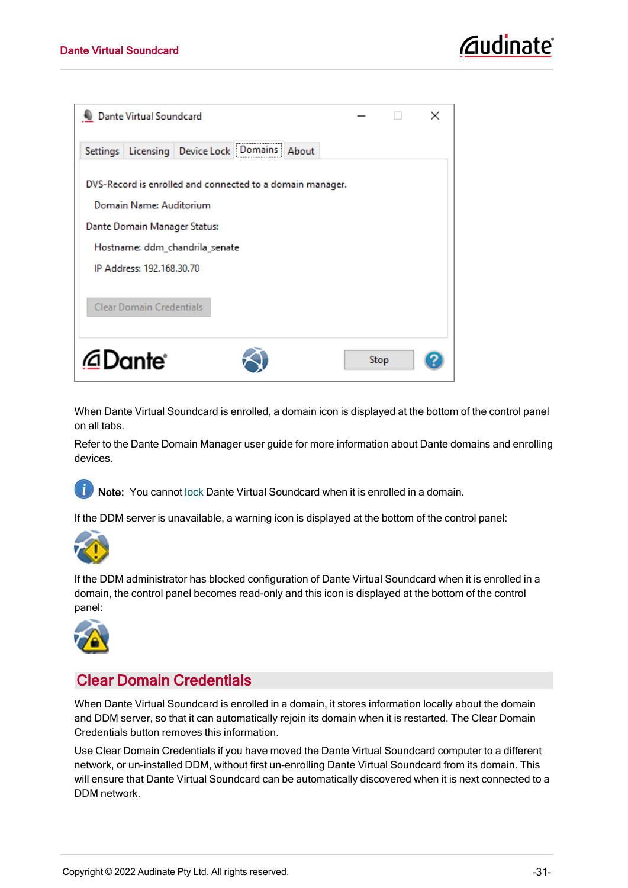| <b>Dante Virtual Soundcard</b>                                                       |      | $\times$ |
|--------------------------------------------------------------------------------------|------|----------|
| Settings   Licensing   Device Lock   Domains   About                                 |      |          |
| DVS-Record is enrolled and connected to a domain manager.<br>Domain Name: Auditorium |      |          |
| Dante Domain Manager Status:                                                         |      |          |
| Hostname: ddm_chandrila_senate                                                       |      |          |
| IP Address: 192.168.30.70                                                            |      |          |
| <b>Clear Domain Credentials</b>                                                      |      |          |
| @Dante®                                                                              | Stop |          |

When Dante Virtual Soundcard is enrolled, a domain icon is displayed at the bottom of the control panel on all tabs.

Refer to the Dante Domain Manager user guide for more information about Dante domains and enrolling devices.

**1** Note: You cannot [lock](#page-28-1) Dante Virtual Soundcard when it is enrolled in a domain.

If the DDM server is unavailable, a warning icon is displayed at the bottom of the control panel:



If the DDM administrator has blocked configuration of Dante Virtual Soundcard when it is enrolled in a domain, the control panel becomes read-only and this icon is displayed at the bottom of the control panel:



#### <span id="page-31-0"></span>Clear Domain Credentials

When Dante Virtual Soundcard is enrolled in a domain, it stores information locally about the domain and DDM server, so that it can automatically rejoin its domain when it is restarted. The Clear Domain Credentials button removes this information.

Use Clear Domain Credentials if you have moved the Dante Virtual Soundcard computer to a different network, or un-installed DDM, without first un-enrolling Dante Virtual Soundcard from its domain. This will ensure that Dante Virtual Soundcard can be automatically discovered when it is next connected to a DDM network.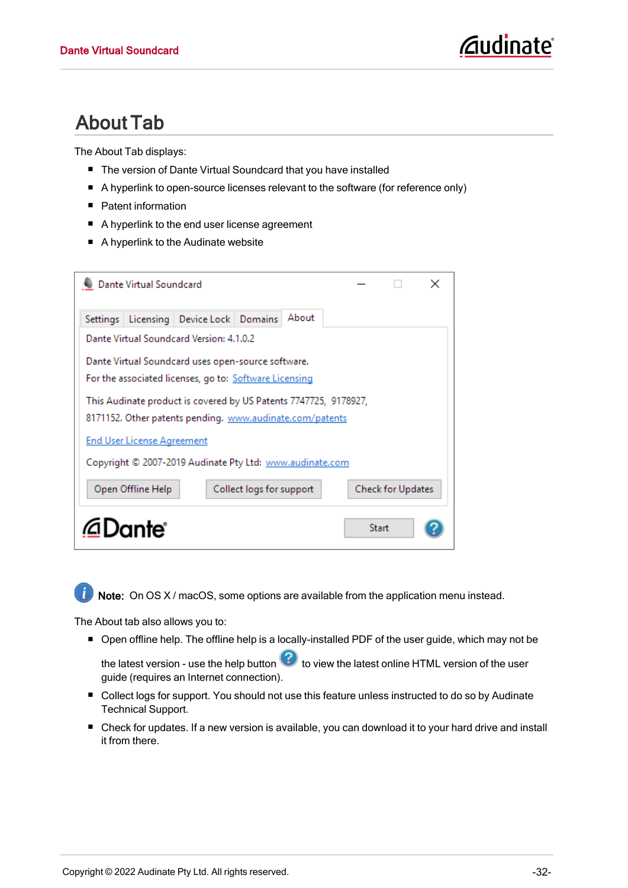# <span id="page-32-0"></span>About Tab

The About Tab displays:

- The version of Dante Virtual Soundcard that you have installed
- A hyperlink to open-source licenses relevant to the software (for reference only)
- Patent information
- A hyperlink to the end user license agreement
- A hyperlink to the Audinate website

| Dante Virtual Soundcard                                          | ×                        |
|------------------------------------------------------------------|--------------------------|
| About<br>Licensing   Device Lock   Domains<br>Settings           |                          |
| Dante Virtual Soundcard Version: 4.1.0.2                         |                          |
| Dante Virtual Soundcard uses open-source software.               |                          |
| For the associated licenses, go to: Software Licensing           |                          |
| This Audinate product is covered by US Patents 7747725, 9178927, |                          |
| 8171152. Other patents pending. www.audinate.com/patents         |                          |
| <b>End User License Agreement</b>                                |                          |
| Copyright © 2007-2019 Audinate Pty Ltd: www.audinate.com         |                          |
| Open Offline Help<br>Collect logs for support                    | <b>Check for Updates</b> |
| @Dante®                                                          | Start                    |



Note: On OS X / macOS, some options are available from the application menu instead.

The About tab also allows you to:

■ Open offline help. The offline help is a locally-installed PDF of the user guide, which may not be

the latest version - use the help button  $\Omega$  to view the latest online HTML version of the user guide (requires an Internet connection).

- Collect logs for support. You should not use this feature unless instructed to do so by Audinate Technical Support.
- Check for updates. If a new version is available, you can download it to your hard drive and install it from there.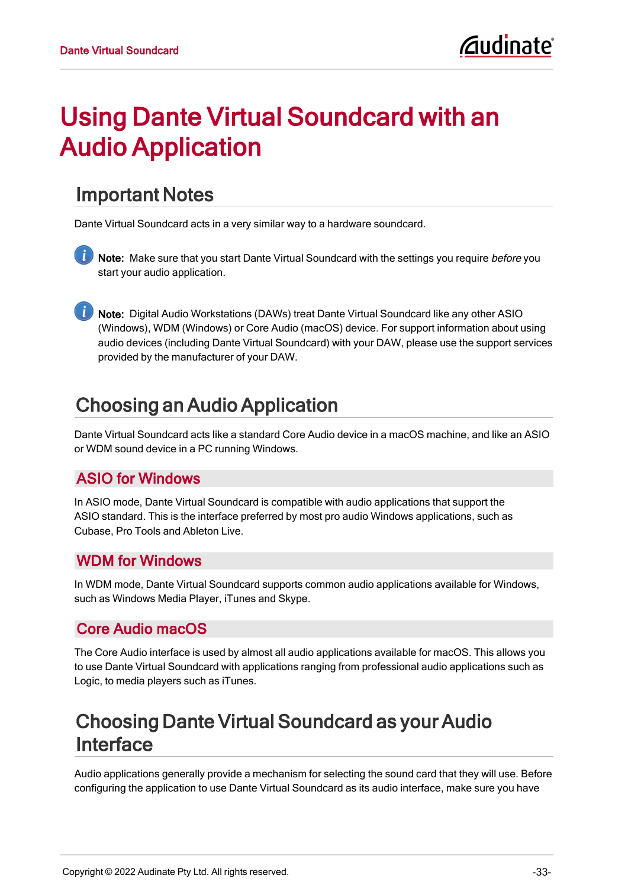# <span id="page-33-0"></span>Using Dante Virtual Soundcard with an Audio Application

### <span id="page-33-1"></span>Important Notes

Dante Virtual Soundcard acts in a very similar way to a hardware soundcard.

 $\ket{t}$ Note: Make sure that you start Dante Virtual Soundcard with the settings you require before you start your audio application.

Note: Digital Audio Workstations (DAWs) treat Dante Virtual Soundcard like any other ASIO (Windows), WDM (Windows) or Core Audio (macOS) device. For support information about using audio devices (including Dante Virtual Soundcard) with your DAW, please use the support services provided by the manufacturer of your DAW.

# <span id="page-33-2"></span>Choosing an Audio Application

Dante Virtual Soundcard acts like a standard Core Audio device in a macOS machine, and like an ASIO or WDM sound device in a PC running Windows.

#### <span id="page-33-3"></span>ASIO for Windows

In ASIO mode, Dante Virtual Soundcard is compatible with audio applications that support the ASIO standard. This is the interface preferred by most pro audio Windows applications, such as Cubase, Pro Tools and Ableton Live.

#### <span id="page-33-4"></span>WDM for Windows

In WDM mode, Dante Virtual Soundcard supports common audio applications available for Windows, such as Windows Media Player, iTunes and Skype.

#### <span id="page-33-5"></span>Core Audio macOS

The Core Audio interface is used by almost all audio applications available for macOS. This allows you to use Dante Virtual Soundcard with applications ranging from professional audio applications such as Logic, to media players such as iTunes.

# <span id="page-33-6"></span>Choosing Dante Virtual Soundcard as your Audio Interface

Audio applications generally provide a mechanism for selecting the sound card that they will use. Before configuring the application to use Dante Virtual Soundcard as its audio interface, make sure you have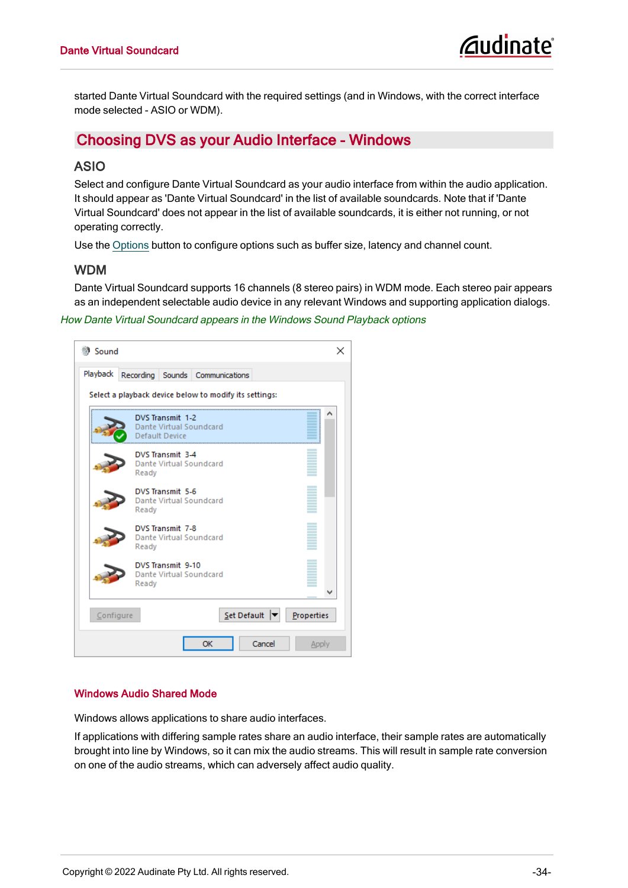started Dante Virtual Soundcard with the required settings (and in Windows, with the correct interface mode selected - ASIO or WDM).

#### <span id="page-34-1"></span><span id="page-34-0"></span>Choosing DVS as your Audio Interface - Windows

#### ASIO

Select and configure Dante Virtual Soundcard as your audio interface from within the audio application. It should appear as 'Dante Virtual Soundcard' in the list of available soundcards. Note that if 'Dante Virtual Soundcard' does not appear in the list of available soundcards, it is either not running, or not operating correctly.

<span id="page-34-2"></span>Use the [Options](#page-22-1) button to configure options such as buffer size, latency and channel count.

#### WDM

Dante Virtual Soundcard supports 16 channels (8 stereo pairs) in WDM mode. Each stereo pair appears as an independent selectable audio device in any relevant Windows and supporting application dialogs.

#### How Dante Virtual Soundcard appears in the Windows Sound Playback options

| <b>3</b> Sound | ×                                                             |
|----------------|---------------------------------------------------------------|
| Playback       | Recording Sounds Communications                               |
|                | Select a playback device below to modify its settings:        |
|                | DVS Transmit 1-2<br>Dante Virtual Soundcard<br>Default Device |
|                | DVS Transmit 3-4<br><b>Dante Virtual Soundcard</b><br>Ready   |
|                | DVS Transmit 5-6<br>Dante Virtual Soundcard<br>Ready          |
|                | DVS Transmit 7-8<br>Dante Virtual Soundcard<br>Ready          |
|                | DVS Transmit 9-10<br>Dante Virtual Soundcard<br>Ready         |
| Configure      | $Set$ Default $\blacktriangledown$<br>Properties              |
|                | Cancel<br>OK<br>Apply                                         |

#### <span id="page-34-3"></span>Windows Audio Shared Mode

<span id="page-34-4"></span>Windows allows applications to share audio interfaces.

If applications with differing sample rates share an audio interface, their sample rates are automatically brought into line by Windows, so it can mix the audio streams. This will result in sample rate conversion on one of the audio streams, which can adversely affect audio quality.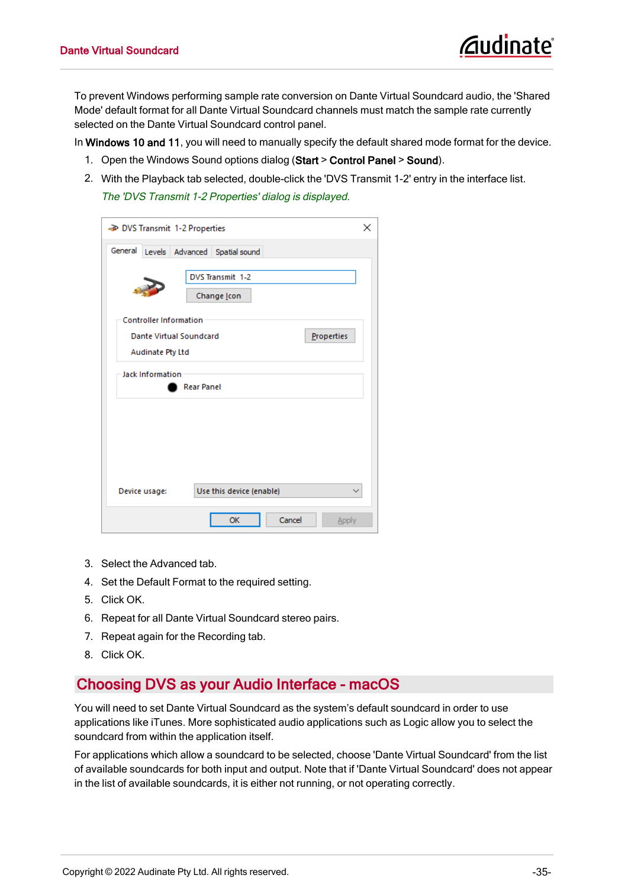<span id="page-35-1"></span>To prevent Windows performing sample rate conversion on Dante Virtual Soundcard audio, the 'Shared Mode' default format for all Dante Virtual Soundcard channels must match the sample rate currently selected on the Dante Virtual Soundcard control panel.

In Windows 10 and 11, you will need to manually specify the default shared mode format for the device.

- 1. Open the Windows Sound options dialog (Start > Control Panel > Sound).
- 2. With the Playback tab selected, double-click the 'DVS Transmit 1-2' entry in the interface list. The 'DVS Transmit 1-2 Properties' dialog is displayed.

| DVS Transmit 1-2 Properties                                                   | ×            |
|-------------------------------------------------------------------------------|--------------|
| General<br>Levels Advanced Spatial sound<br>DVS Transmit 1-2<br>Change Icon   |              |
| <b>Controller Information</b><br>Properties<br><b>Dante Virtual Soundcard</b> |              |
| Audinate Pty Ltd<br><b>Jack Information</b><br><b>Rear Panel</b>              |              |
|                                                                               |              |
| Use this device (enable)<br>Device usage:                                     | $\checkmark$ |
| Cancel<br>OK<br><b>Apply</b>                                                  |              |

- 3. Select the Advanced tab.
- 4. Set the Default Format to the required setting.
- 5. Click OK.
- 6. Repeat for all Dante Virtual Soundcard stereo pairs.
- 7. Repeat again for the Recording tab.
- <span id="page-35-0"></span>8. Click OK.

#### Choosing DVS as your Audio Interface - macOS

You will need to set Dante Virtual Soundcard as the system's default soundcard in order to use applications like iTunes. More sophisticated audio applications such as Logic allow you to select the soundcard from within the application itself.

For applications which allow a soundcard to be selected, choose 'Dante Virtual Soundcard' from the list of available soundcards for both input and output. Note that if 'Dante Virtual Soundcard' does not appear in the list of available soundcards, it is either not running, or not operating correctly.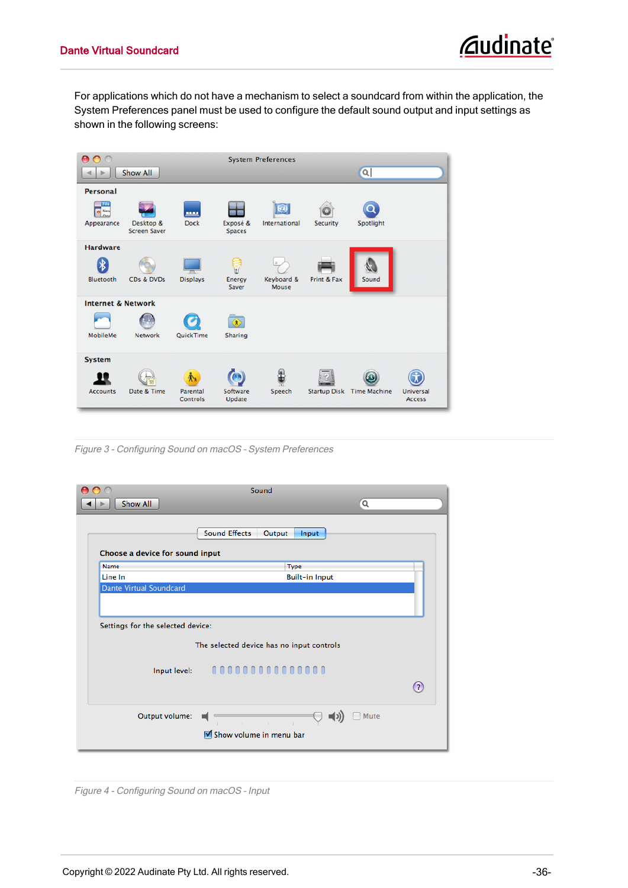For applications which do not have a mechanism to select a soundcard from within the application, the System Preferences panel must be used to configure the default sound output and input settings as shown in the following screens:



Figure 3 - Configuring Sound on macOS – System Preferences

|                                   | Sound                                                  |                   |
|-----------------------------------|--------------------------------------------------------|-------------------|
| Show All                          | Q                                                      |                   |
| Choose a device for sound input   | <b>Sound Effects</b><br>Output<br>Input                |                   |
| Name                              | Type                                                   |                   |
| Line In                           | <b>Built-in Input</b>                                  |                   |
| Dante Virtual Soundcard           |                                                        |                   |
|                                   |                                                        |                   |
|                                   |                                                        |                   |
| Settings for the selected device: |                                                        |                   |
|                                   | The selected device has no input controls              |                   |
|                                   | Input level: 000000000000000                           |                   |
|                                   |                                                        | $\left( 7\right)$ |
| Output volume:                    | Mute<br>=()<br>$\mathbb{R}$<br>Show volume in menu bar |                   |

Figure 4 - Configuring Sound on macOS – Input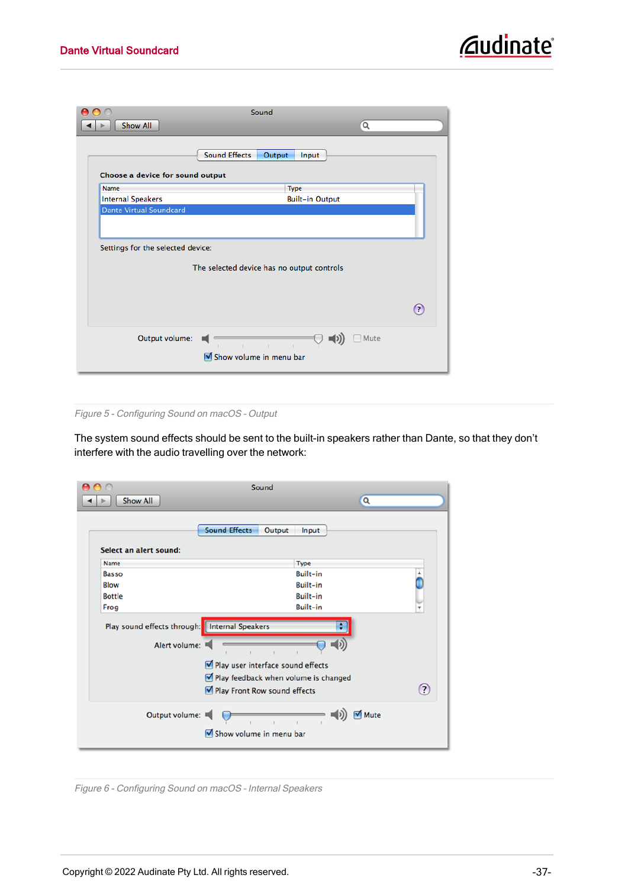|                                   | Sound                                      |                   |
|-----------------------------------|--------------------------------------------|-------------------|
| <b>Show All</b>                   |                                            | $\alpha$          |
|                                   |                                            |                   |
|                                   | <b>Sound Effects</b><br>Output<br>Input    |                   |
| Choose a device for sound output  |                                            |                   |
| Name                              | Type                                       |                   |
| <b>Internal Speakers</b>          | <b>Built-in Output</b>                     |                   |
| Dante Virtual Soundcard           |                                            |                   |
|                                   |                                            |                   |
|                                   |                                            |                   |
| Settings for the selected device: |                                            |                   |
|                                   |                                            |                   |
|                                   | The selected device has no output controls |                   |
|                                   |                                            |                   |
|                                   |                                            |                   |
|                                   |                                            |                   |
|                                   |                                            | $\left( 7\right)$ |
|                                   |                                            |                   |
| Output volume:                    |                                            | Mute              |
|                                   | $\Phi$                                     |                   |
|                                   | Show volume in menu bar                    |                   |
|                                   |                                            |                   |

Figure 5 - Configuring Sound on macOS – Output

The system sound effects should be sent to the built-in speakers rather than Dante, so that they don't interfere with the audio travelling over the network:

|                        |                                                                | Sound                             |                                      |               |         |
|------------------------|----------------------------------------------------------------|-----------------------------------|--------------------------------------|---------------|---------|
| <b>Show All</b>        |                                                                |                                   |                                      | $\alpha$      |         |
|                        |                                                                |                                   |                                      |               |         |
|                        | <b>Sound Effects</b>                                           | Output                            | Input                                |               |         |
| Select an alert sound: |                                                                |                                   |                                      |               |         |
| Name                   |                                                                |                                   | Type                                 |               |         |
| Basso                  |                                                                |                                   | <b>Built-in</b>                      |               |         |
| Blow                   |                                                                |                                   | <b>Built-in</b>                      |               |         |
| <b>Bottle</b>          |                                                                |                                   | <b>Built-in</b>                      |               |         |
| Frog                   |                                                                |                                   | <b>Built-in</b>                      |               | ۰       |
|                        | Play sound effects through: Internal Speakers<br>Alert volume: |                                   | ٠                                    |               |         |
|                        |                                                                | Play user interface sound effects |                                      |               |         |
|                        |                                                                |                                   | Play feedback when volume is changed |               |         |
|                        |                                                                | Play Front Row sound effects      |                                      |               | $\odot$ |
|                        | Output volume:                                                 |                                   |                                      | <b>√</b> Mute |         |
|                        |                                                                | Show volume in menu bar           |                                      |               |         |
|                        |                                                                |                                   |                                      |               |         |

Figure 6 - Configuring Sound on macOS – Internal Speakers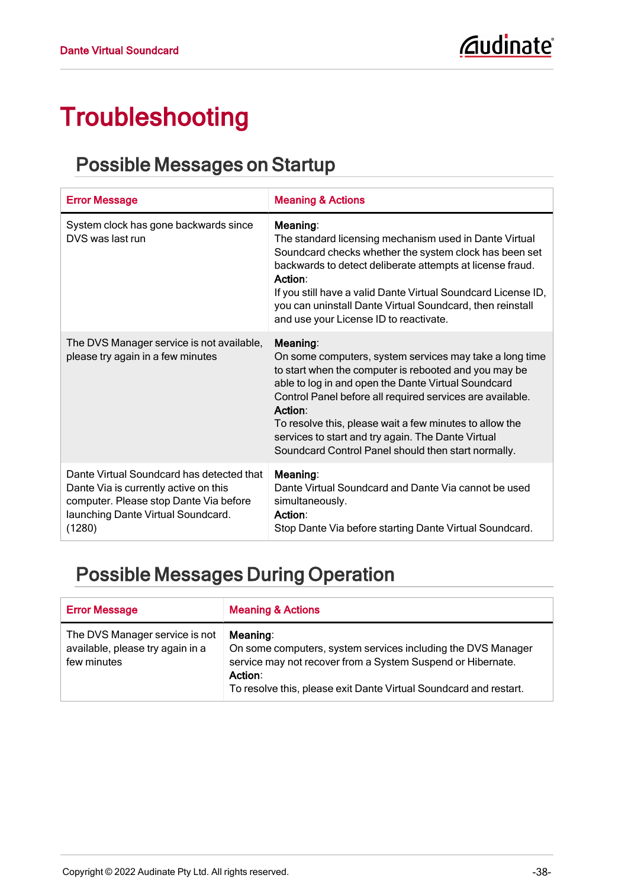# <span id="page-38-0"></span>Troubleshooting

### <span id="page-38-1"></span>Possible Messages on Startup

| <b>Error Message</b>                                                                                                                                                         | <b>Meaning &amp; Actions</b>                                                                                                                                                                                                                                                                                                                                                                                                        |
|------------------------------------------------------------------------------------------------------------------------------------------------------------------------------|-------------------------------------------------------------------------------------------------------------------------------------------------------------------------------------------------------------------------------------------------------------------------------------------------------------------------------------------------------------------------------------------------------------------------------------|
| System clock has gone backwards since<br>DVS was last run                                                                                                                    | Meaning:<br>The standard licensing mechanism used in Dante Virtual<br>Soundcard checks whether the system clock has been set<br>backwards to detect deliberate attempts at license fraud.<br>Action:<br>If you still have a valid Dante Virtual Soundcard License ID,<br>you can uninstall Dante Virtual Soundcard, then reinstall<br>and use your License ID to reactivate.                                                        |
| The DVS Manager service is not available,<br>please try again in a few minutes                                                                                               | Meaning:<br>On some computers, system services may take a long time<br>to start when the computer is rebooted and you may be<br>able to log in and open the Dante Virtual Soundcard<br>Control Panel before all required services are available.<br>Action:<br>To resolve this, please wait a few minutes to allow the<br>services to start and try again. The Dante Virtual<br>Soundcard Control Panel should then start normally. |
| Dante Virtual Soundcard has detected that<br>Dante Via is currently active on this<br>computer. Please stop Dante Via before<br>launching Dante Virtual Soundcard.<br>(1280) | Meaning:<br>Dante Virtual Soundcard and Dante Via cannot be used<br>simultaneously.<br>Action:<br>Stop Dante Via before starting Dante Virtual Soundcard.                                                                                                                                                                                                                                                                           |

# <span id="page-38-3"></span><span id="page-38-2"></span>Possible Messages During Operation

<span id="page-38-4"></span>

| <b>Error Message</b>                                                              | <b>Meaning &amp; Actions</b>                                                                                                                                                                                            |
|-----------------------------------------------------------------------------------|-------------------------------------------------------------------------------------------------------------------------------------------------------------------------------------------------------------------------|
| The DVS Manager service is not<br>available, please try again in a<br>few minutes | Meaning:<br>On some computers, system services including the DVS Manager<br>service may not recover from a System Suspend or Hibernate.<br>Action:<br>To resolve this, please exit Dante Virtual Soundcard and restart. |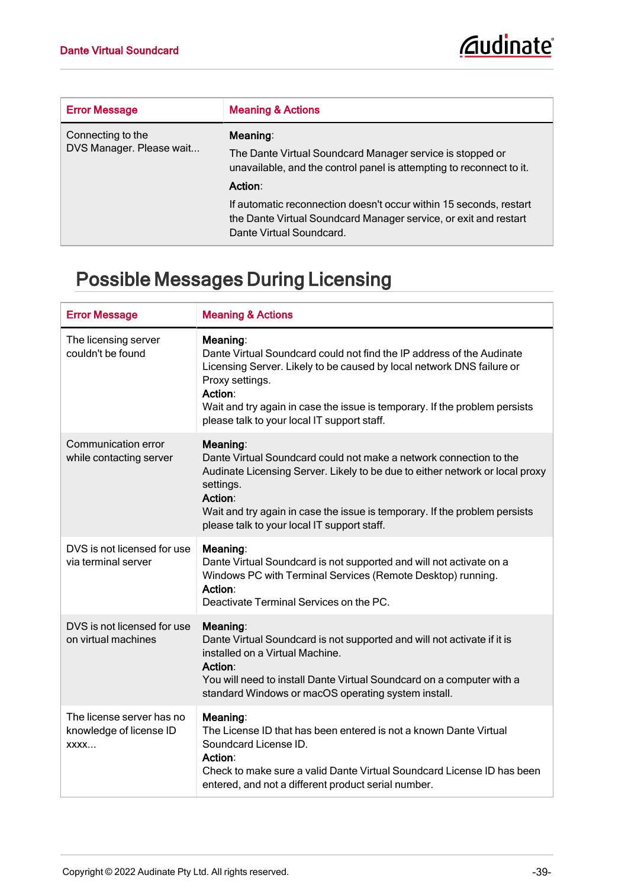<span id="page-39-1"></span>

| <b>Error Message</b>                          | <b>Meaning &amp; Actions</b>                                                                                                                                       |
|-----------------------------------------------|--------------------------------------------------------------------------------------------------------------------------------------------------------------------|
| Connecting to the<br>DVS Manager. Please wait | Meaning:<br>The Dante Virtual Soundcard Manager service is stopped or<br>unavailable, and the control panel is attempting to reconnect to it.<br>Action:           |
|                                               | If automatic reconnection doesn't occur within 15 seconds, restart<br>the Dante Virtual Soundcard Manager service, or exit and restart<br>Dante Virtual Soundcard. |

# <span id="page-39-0"></span>Possible Messages During Licensing

| <b>Error Message</b>                                         | <b>Meaning &amp; Actions</b>                                                                                                                                                                                                                                                                                          |
|--------------------------------------------------------------|-----------------------------------------------------------------------------------------------------------------------------------------------------------------------------------------------------------------------------------------------------------------------------------------------------------------------|
| The licensing server<br>couldn't be found                    | Meaning:<br>Dante Virtual Soundcard could not find the IP address of the Audinate<br>Licensing Server. Likely to be caused by local network DNS failure or<br>Proxy settings.<br>Action:<br>Wait and try again in case the issue is temporary. If the problem persists<br>please talk to your local IT support staff. |
| Communication error<br>while contacting server               | Meaning:<br>Dante Virtual Soundcard could not make a network connection to the<br>Audinate Licensing Server. Likely to be due to either network or local proxy<br>settings.<br>Action:<br>Wait and try again in case the issue is temporary. If the problem persists<br>please talk to your local IT support staff.   |
| DVS is not licensed for use<br>via terminal server           | Meaning:<br>Dante Virtual Soundcard is not supported and will not activate on a<br>Windows PC with Terminal Services (Remote Desktop) running.<br>Action:<br>Deactivate Terminal Services on the PC.                                                                                                                  |
| DVS is not licensed for use<br>on virtual machines           | Meaning:<br>Dante Virtual Soundcard is not supported and will not activate if it is<br>installed on a Virtual Machine.<br>Action:<br>You will need to install Dante Virtual Soundcard on a computer with a<br>standard Windows or macOS operating system install.                                                     |
| The license server has no<br>knowledge of license ID<br>XXXX | Meaning:<br>The License ID that has been entered is not a known Dante Virtual<br>Soundcard License ID.<br>Action:<br>Check to make sure a valid Dante Virtual Soundcard License ID has been<br>entered, and not a different product serial number.                                                                    |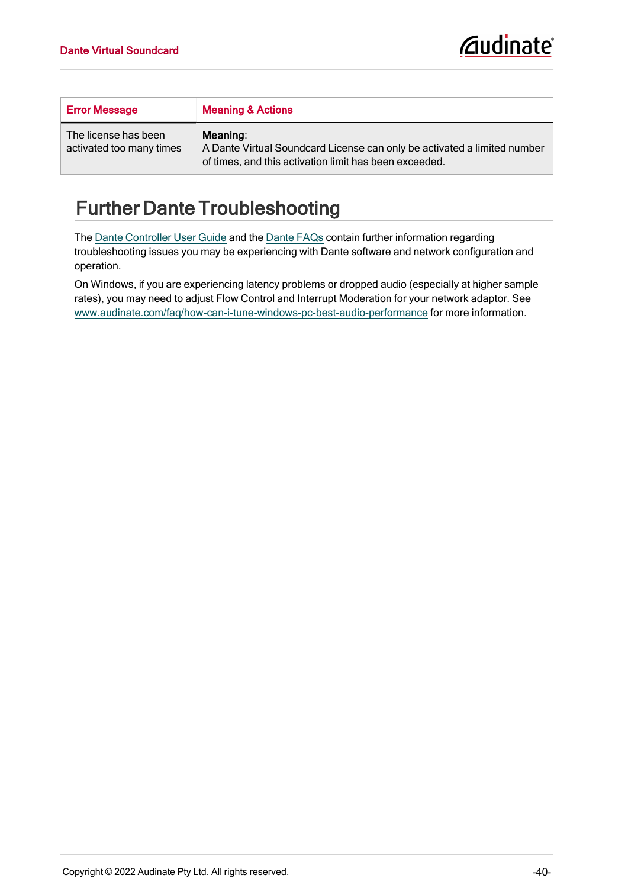| <b>Error Message</b>                             | <b>Meaning &amp; Actions</b>                                                                                                                   |
|--------------------------------------------------|------------------------------------------------------------------------------------------------------------------------------------------------|
| The license has been<br>activated too many times | Meaning:<br>A Dante Virtual Soundcard License can only be activated a limited number<br>of times, and this activation limit has been exceeded. |

# <span id="page-40-0"></span>Further Dante Troubleshooting

The Dante [Controller](http://dev.audinate.com/GA/dante-controller/userguide/webhelp/) User Guide and the [Dante](https://www.audinate.com/resources/faqs) FAQs contain further information regarding troubleshooting issues you may be experiencing with Dante software and network configuration and operation.

<span id="page-40-1"></span>On Windows, if you are experiencing latency problems or dropped audio (especially at higher sample rates), you may need to adjust Flow Control and Interrupt Moderation for your network adaptor. See [www.audinate.com/faq/how-can-i-tune-windows-pc-best-audio-performance](https://www.audinate.com/faq/how-can-i-tune-windows-pc-best-audio-performance) for more information.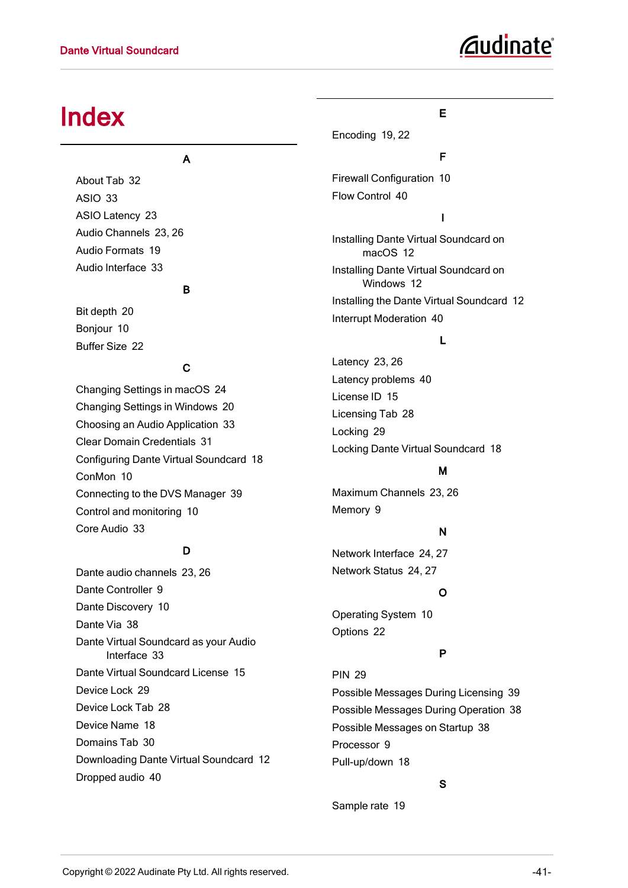# *Gudinate*

# <span id="page-41-0"></span>Index

#### A

About Tab [32](#page-32-0) ASIO [33](#page-33-3) ASIO Latency [23](#page-23-2) Audio Channels [23,](#page-23-0) [26](#page-26-0) Audio Formats [19](#page-19-2) Audio Interface [33](#page-33-6)

#### B

Bit depth [20](#page-20-1) Bonjour [10](#page-10-5) Buffer Size [22](#page-22-2)

#### C

Changing Settings in macOS [24](#page-24-2) Changing Settings in Windows [20](#page-20-0) Choosing an Audio Application [33](#page-33-2) Clear Domain Credentials [31](#page-31-0) Configuring Dante Virtual Soundcard [18](#page-18-0) ConMon [10](#page-10-6) Connecting to the DVS Manager [39](#page-39-1) Control and monitoring [10](#page-10-6) Core Audio [33](#page-33-5)

#### D

Dante audio channels [23,](#page-23-3) [26](#page-26-2) Dante Controller [9](#page-9-1) Dante Discovery [10](#page-10-7) Dante Via [38](#page-38-3) Dante Virtual Soundcard as your Audio Interface [33](#page-33-6) Dante Virtual Soundcard License [15](#page-15-0) Device Lock [29](#page-29-0) Device Lock Tab [28](#page-28-1) Device Name [18](#page-18-2) Domains Tab [30](#page-30-1) Downloading Dante Virtual Soundcard [12](#page-12-1) Dropped audio [40](#page-40-1)

#### E

Encoding [19](#page-19-1), [22](#page-22-3)

#### F

Firewall Configuration [10](#page-10-4) Flow Control [40](#page-40-1)

#### I

Installing Dante Virtual Soundcard on macOS [12](#page-12-3) Installing Dante Virtual Soundcard on Windows [12](#page-12-2) Installing the Dante Virtual Soundcard [12](#page-12-0) Interrupt Moderation [40](#page-40-1)

#### L

Latency [23,](#page-23-1) [26](#page-26-1) Latency problems [40](#page-40-1) License ID [15](#page-15-1) Licensing Tab [28](#page-28-0) Locking [29](#page-29-1) Locking Dante Virtual Soundcard [18](#page-18-3)

#### M

Maximum Channels [23,](#page-23-4) [26](#page-26-3) Memory [9](#page-9-4)

#### N

Network Interface [24,](#page-24-0) [27](#page-27-0) Network Status [24,](#page-24-1) [27](#page-27-1)

#### O

Operating System [10](#page-10-8) Options [22](#page-22-1)

#### P

PIN [29](#page-29-2) Possible Messages During Licensing [39](#page-39-0) Possible Messages During Operation [38](#page-38-2) Possible Messages on Startup [38](#page-38-1) Processor [9](#page-9-5) Pull-up/down [18](#page-18-5)

#### S

Sample rate [19](#page-19-3)